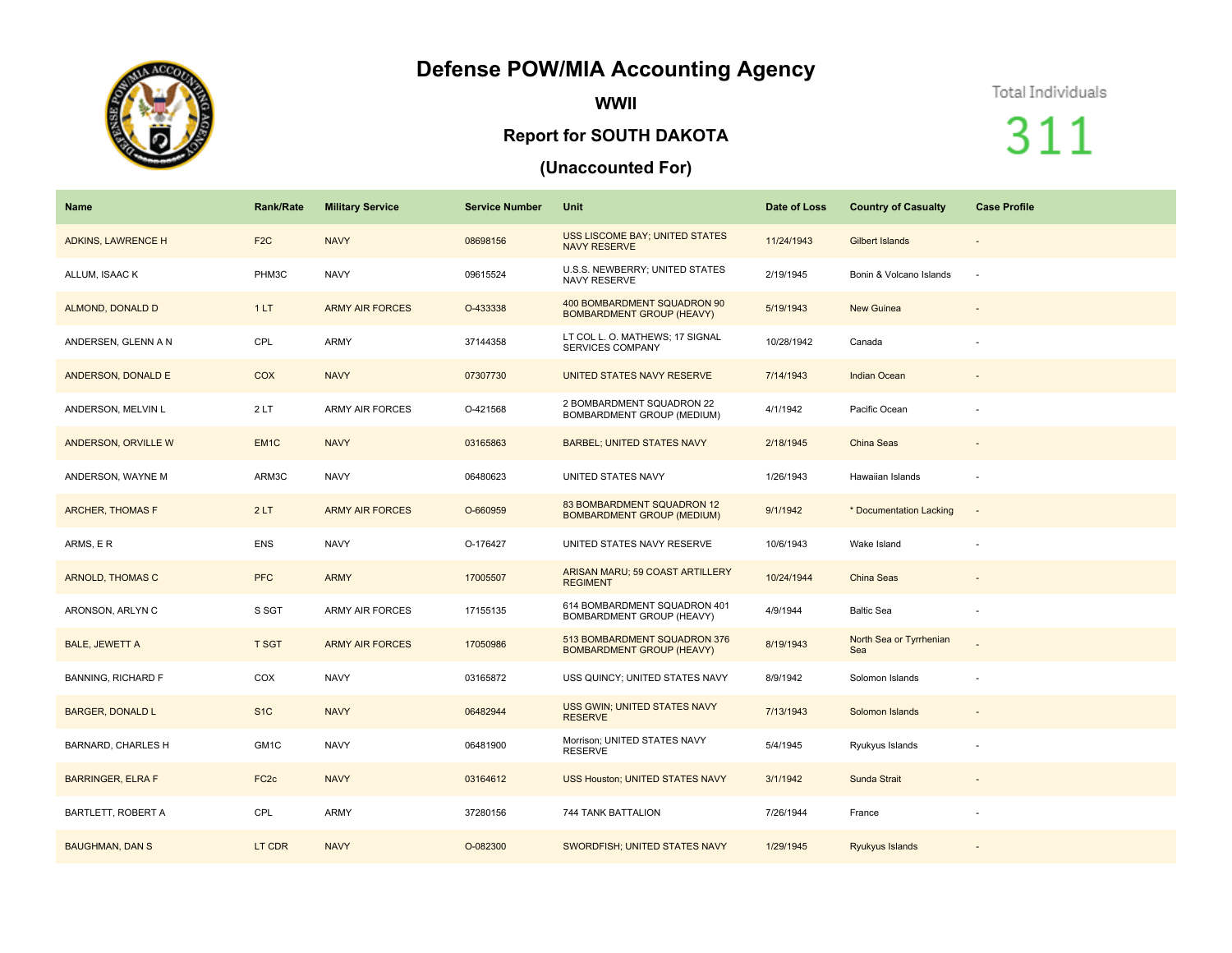## **Defense POW/MIA Accounting Agency**



**WWII**

#### **Report for SOUTH DAKOTA**

### **(Unaccounted For)**

#### Total Individuals

# 311

| Name                      | Rank/Rate        | <b>Military Service</b> | <b>Service Number</b> | <b>Unit</b>                                                      | Date of Loss | <b>Country of Casualty</b>     | <b>Case Profile</b>      |
|---------------------------|------------------|-------------------------|-----------------------|------------------------------------------------------------------|--------------|--------------------------------|--------------------------|
| ADKINS, LAWRENCE H        | F <sub>2</sub> C | <b>NAVY</b>             | 08698156              | <b>USS LISCOME BAY; UNITED STATES</b><br><b>NAVY RESERVE</b>     | 11/24/1943   | Gilbert Islands                | $\overline{\phantom{a}}$ |
| ALLUM, ISAAC K            | PHM3C            | <b>NAVY</b>             | 09615524              | U.S.S. NEWBERRY; UNITED STATES<br><b>NAVY RESERVE</b>            | 2/19/1945    | Bonin & Volcano Islands        | $\sim$                   |
| ALMOND, DONALD D          | 1LT              | <b>ARMY AIR FORCES</b>  | O-433338              | 400 BOMBARDMENT SQUADRON 90<br><b>BOMBARDMENT GROUP (HEAVY)</b>  | 5/19/1943    | <b>New Guinea</b>              |                          |
| ANDERSEN, GLENN A N       | CPL              | <b>ARMY</b>             | 37144358              | LT COL L. O. MATHEWS; 17 SIGNAL<br><b>SERVICES COMPANY</b>       | 10/28/1942   | Canada                         |                          |
| ANDERSON, DONALD E        | COX              | <b>NAVY</b>             | 07307730              | UNITED STATES NAVY RESERVE                                       | 7/14/1943    | <b>Indian Ocean</b>            | $\overline{\phantom{a}}$ |
| ANDERSON, MELVIN L        | 2LT              | <b>ARMY AIR FORCES</b>  | O-421568              | 2 BOMBARDMENT SQUADRON 22<br>BOMBARDMENT GROUP (MEDIUM)          | 4/1/1942     | Pacific Ocean                  |                          |
| ANDERSON, ORVILLE W       | EM <sub>1C</sub> | <b>NAVY</b>             | 03165863              | <b>BARBEL; UNITED STATES NAVY</b>                                | 2/18/1945    | China Seas                     |                          |
| ANDERSON, WAYNE M         | ARM3C            | <b>NAVY</b>             | 06480623              | UNITED STATES NAVY                                               | 1/26/1943    | Hawaiian Islands               | $\sim$                   |
| <b>ARCHER, THOMAS F</b>   | 2LT              | <b>ARMY AIR FORCES</b>  | O-660959              | 83 BOMBARDMENT SQUADRON 12<br><b>BOMBARDMENT GROUP (MEDIUM)</b>  | 9/1/1942     | * Documentation Lacking        | $\overline{\phantom{a}}$ |
| ARMS, ER                  | <b>ENS</b>       | <b>NAVY</b>             | O-176427              | UNITED STATES NAVY RESERVE                                       | 10/6/1943    | Wake Island                    |                          |
| ARNOLD, THOMAS C          | <b>PFC</b>       | <b>ARMY</b>             | 17005507              | ARISAN MARU; 59 COAST ARTILLERY<br><b>REGIMENT</b>               | 10/24/1944   | China Seas                     | $\overline{\phantom{a}}$ |
| ARONSON, ARLYN C          | S SGT            | <b>ARMY AIR FORCES</b>  | 17155135              | 614 BOMBARDMENT SQUADRON 401<br>BOMBARDMENT GROUP (HEAVY)        | 4/9/1944     | <b>Baltic Sea</b>              |                          |
| <b>BALE, JEWETT A</b>     | <b>T SGT</b>     | <b>ARMY AIR FORCES</b>  | 17050986              | 513 BOMBARDMENT SQUADRON 376<br><b>BOMBARDMENT GROUP (HEAVY)</b> | 8/19/1943    | North Sea or Tyrrhenian<br>Sea |                          |
| <b>BANNING, RICHARD F</b> | COX              | <b>NAVY</b>             | 03165872              | USS QUINCY; UNITED STATES NAVY                                   | 8/9/1942     | Solomon Islands                |                          |
| <b>BARGER, DONALD L</b>   | S <sub>1</sub> C | <b>NAVY</b>             | 06482944              | USS GWIN; UNITED STATES NAVY<br><b>RESERVE</b>                   | 7/13/1943    | Solomon Islands                | $\overline{\phantom{a}}$ |
| <b>BARNARD, CHARLES H</b> | GM1C             | <b>NAVY</b>             | 06481900              | Morrison; UNITED STATES NAVY<br><b>RESERVE</b>                   | 5/4/1945     | Ryukyus Islands                |                          |
| <b>BARRINGER, ELRA F</b>  | FC <sub>2c</sub> | <b>NAVY</b>             | 03164612              | <b>USS Houston; UNITED STATES NAVY</b>                           | 3/1/1942     | Sunda Strait                   |                          |
| <b>BARTLETT, ROBERT A</b> | CPL              | <b>ARMY</b>             | 37280156              | 744 TANK BATTALION                                               | 7/26/1944    | France                         |                          |
| <b>BAUGHMAN, DAN S</b>    | LT CDR           | <b>NAVY</b>             | O-082300              | SWORDFISH; UNITED STATES NAVY                                    | 1/29/1945    | Ryukyus Islands                |                          |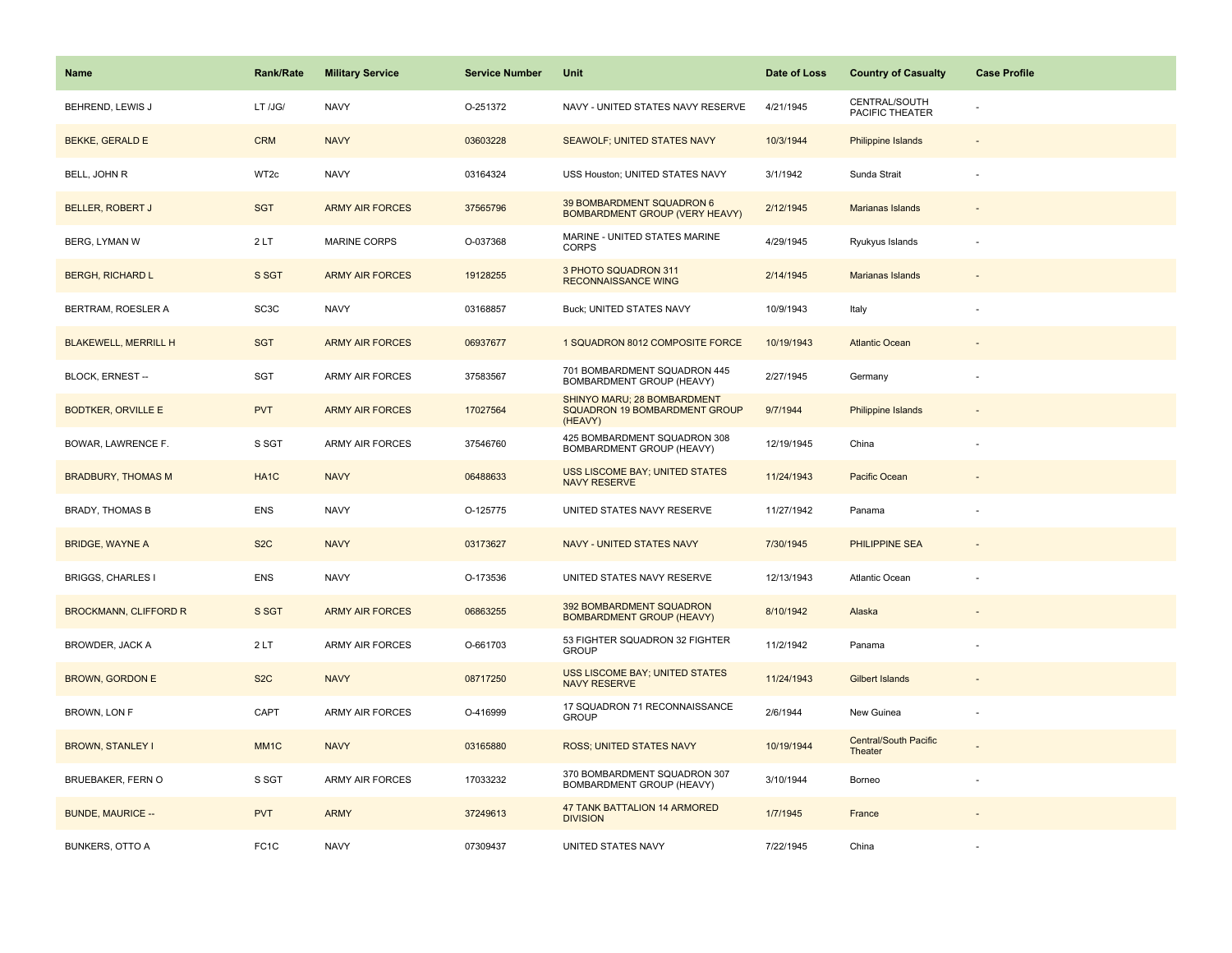| <b>Name</b>                  | <b>Rank/Rate</b>  | <b>Military Service</b> | <b>Service Number</b> | Unit                                                                    | Date of Loss | <b>Country of Casualty</b>              | <b>Case Profile</b>      |
|------------------------------|-------------------|-------------------------|-----------------------|-------------------------------------------------------------------------|--------------|-----------------------------------------|--------------------------|
| BEHREND, LEWIS J             | LT /JG/           | <b>NAVY</b>             | O-251372              | NAVY - UNITED STATES NAVY RESERVE                                       | 4/21/1945    | CENTRAL/SOUTH<br>PACIFIC THEATER        |                          |
| <b>BEKKE, GERALD E</b>       | <b>CRM</b>        | <b>NAVY</b>             | 03603228              | SEAWOLF; UNITED STATES NAVY                                             | 10/3/1944    | Philippine Islands                      |                          |
| BELL, JOHN R                 | WT2c              | <b>NAVY</b>             | 03164324              | USS Houston; UNITED STATES NAVY                                         | 3/1/1942     | Sunda Strait                            |                          |
| <b>BELLER, ROBERT J</b>      | <b>SGT</b>        | <b>ARMY AIR FORCES</b>  | 37565796              | 39 BOMBARDMENT SQUADRON 6<br><b>BOMBARDMENT GROUP (VERY HEAVY)</b>      | 2/12/1945    | <b>Marianas Islands</b>                 |                          |
| <b>BERG, LYMAN W</b>         | 2LT               | <b>MARINE CORPS</b>     | O-037368              | MARINE - UNITED STATES MARINE<br><b>CORPS</b>                           | 4/29/1945    | Ryukyus Islands                         |                          |
| <b>BERGH, RICHARD L</b>      | S SGT             | <b>ARMY AIR FORCES</b>  | 19128255              | 3 PHOTO SQUADRON 311<br><b>RECONNAISSANCE WING</b>                      | 2/14/1945    | Marianas Islands                        |                          |
| BERTRAM, ROESLER A           | SC <sub>3</sub> C | <b>NAVY</b>             | 03168857              | Buck; UNITED STATES NAVY                                                | 10/9/1943    | Italy                                   |                          |
| <b>BLAKEWELL, MERRILL H</b>  | <b>SGT</b>        | <b>ARMY AIR FORCES</b>  | 06937677              | 1 SQUADRON 8012 COMPOSITE FORCE                                         | 10/19/1943   | <b>Atlantic Ocean</b>                   |                          |
| BLOCK, ERNEST --             | SGT               | ARMY AIR FORCES         | 37583567              | 701 BOMBARDMENT SQUADRON 445<br>BOMBARDMENT GROUP (HEAVY)               | 2/27/1945    | Germany                                 |                          |
| <b>BODTKER, ORVILLE E</b>    | <b>PVT</b>        | <b>ARMY AIR FORCES</b>  | 17027564              | SHINYO MARU; 28 BOMBARDMENT<br>SQUADRON 19 BOMBARDMENT GROUP<br>(HEAVY) | 9/7/1944     | <b>Philippine Islands</b>               |                          |
| BOWAR, LAWRENCE F.           | S SGT             | <b>ARMY AIR FORCES</b>  | 37546760              | 425 BOMBARDMENT SQUADRON 308<br>BOMBARDMENT GROUP (HEAVY)               | 12/19/1945   | China                                   |                          |
| <b>BRADBURY, THOMAS M</b>    | HA <sub>1</sub> C | <b>NAVY</b>             | 06488633              | <b>USS LISCOME BAY; UNITED STATES</b><br><b>NAVY RESERVE</b>            | 11/24/1943   | Pacific Ocean                           |                          |
| <b>BRADY, THOMAS B</b>       | <b>ENS</b>        | <b>NAVY</b>             | O-125775              | UNITED STATES NAVY RESERVE                                              | 11/27/1942   | Panama                                  |                          |
| <b>BRIDGE, WAYNE A</b>       | S <sub>2</sub> C  | <b>NAVY</b>             | 03173627              | <b>NAVY - UNITED STATES NAVY</b>                                        | 7/30/1945    | <b>PHILIPPINE SEA</b>                   |                          |
| <b>BRIGGS, CHARLES I</b>     | <b>ENS</b>        | <b>NAVY</b>             | O-173536              | UNITED STATES NAVY RESERVE                                              | 12/13/1943   | <b>Atlantic Ocean</b>                   |                          |
| <b>BROCKMANN, CLIFFORD R</b> | S SGT             | <b>ARMY AIR FORCES</b>  | 06863255              | 392 BOMBARDMENT SQUADRON<br><b>BOMBARDMENT GROUP (HEAVY)</b>            | 8/10/1942    | Alaska                                  |                          |
| BROWDER, JACK A              | 2LT               | <b>ARMY AIR FORCES</b>  | O-661703              | 53 FIGHTER SQUADRON 32 FIGHTER<br><b>GROUP</b>                          | 11/2/1942    | Panama                                  |                          |
| <b>BROWN, GORDON E</b>       | S <sub>2</sub> C  | <b>NAVY</b>             | 08717250              | <b>USS LISCOME BAY; UNITED STATES</b><br><b>NAVY RESERVE</b>            | 11/24/1943   | <b>Gilbert Islands</b>                  |                          |
| BROWN, LON F                 | CAPT              | ARMY AIR FORCES         | O-416999              | 17 SQUADRON 71 RECONNAISSANCE<br><b>GROUP</b>                           | 2/6/1944     | New Guinea                              | $\overline{\phantom{a}}$ |
| <b>BROWN, STANLEY I</b>      | MM <sub>1C</sub>  | <b>NAVY</b>             | 03165880              | ROSS; UNITED STATES NAVY                                                | 10/19/1944   | <b>Central/South Pacific</b><br>Theater |                          |
| <b>BRUEBAKER, FERN O</b>     | S SGT             | <b>ARMY AIR FORCES</b>  | 17033232              | 370 BOMBARDMENT SQUADRON 307<br>BOMBARDMENT GROUP (HEAVY)               | 3/10/1944    | Borneo                                  |                          |
| <b>BUNDE, MAURICE --</b>     | <b>PVT</b>        | <b>ARMY</b>             | 37249613              | 47 TANK BATTALION 14 ARMORED<br><b>DIVISION</b>                         | 1/7/1945     | France                                  |                          |
| <b>BUNKERS, OTTO A</b>       | FC <sub>1</sub> C | <b>NAVY</b>             | 07309437              | UNITED STATES NAVY                                                      | 7/22/1945    | China                                   |                          |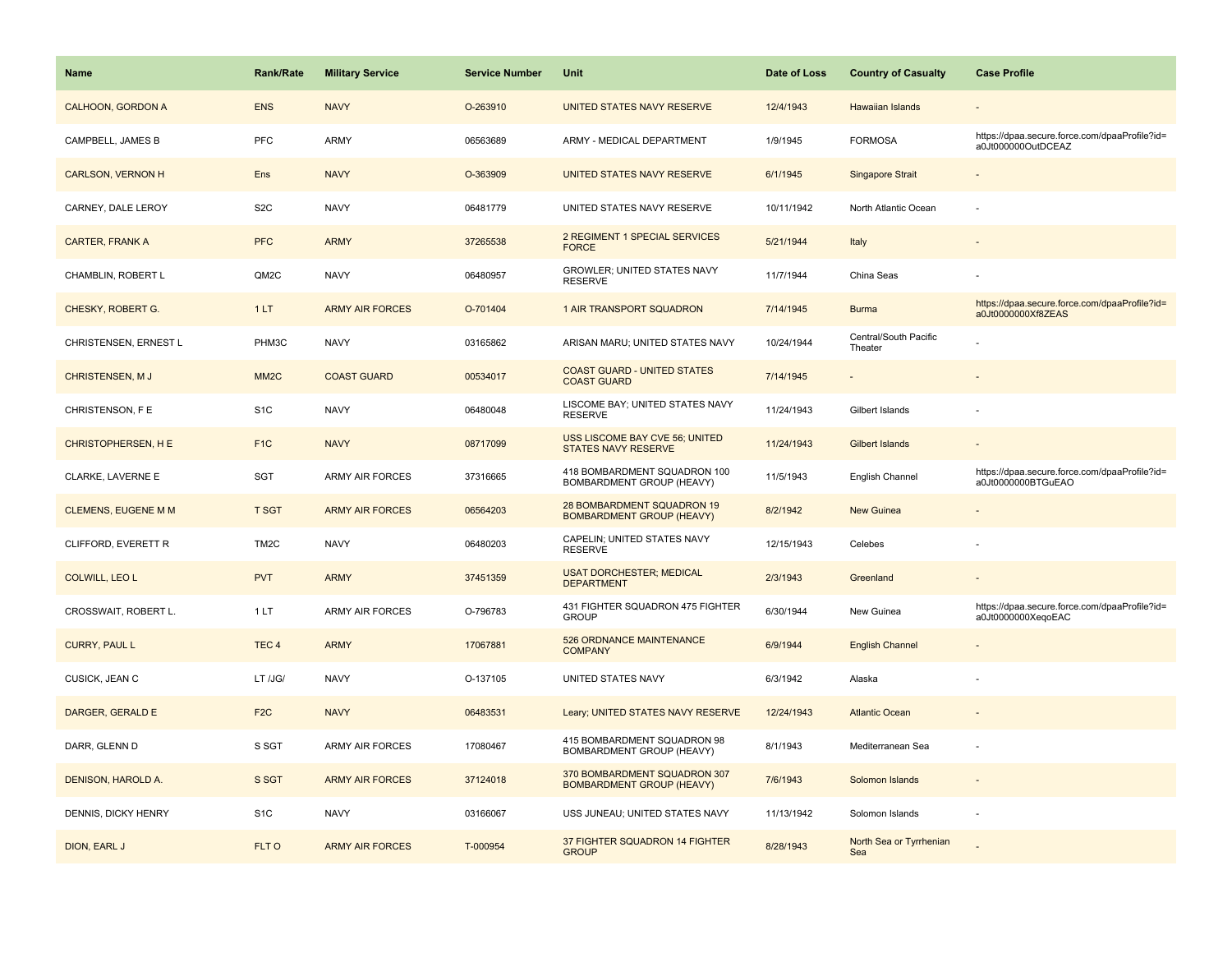| Name                       | <b>Rank/Rate</b>  | <b>Military Service</b> | <b>Service Number</b> | Unit                                                             | Date of Loss | <b>Country of Casualty</b>       | <b>Case Profile</b>                                                 |
|----------------------------|-------------------|-------------------------|-----------------------|------------------------------------------------------------------|--------------|----------------------------------|---------------------------------------------------------------------|
| <b>CALHOON, GORDON A</b>   | <b>ENS</b>        | <b>NAVY</b>             | O-263910              | UNITED STATES NAVY RESERVE                                       | 12/4/1943    | <b>Hawaiian Islands</b>          |                                                                     |
| CAMPBELL, JAMES B          | PFC               | <b>ARMY</b>             | 06563689              | ARMY - MEDICAL DEPARTMENT                                        | 1/9/1945     | <b>FORMOSA</b>                   | https://dpaa.secure.force.com/dpaaProfile?id=<br>a0Jt000000OutDCEAZ |
| <b>CARLSON, VERNON H</b>   | Ens               | <b>NAVY</b>             | O-363909              | UNITED STATES NAVY RESERVE                                       | 6/1/1945     | Singapore Strait                 |                                                                     |
| CARNEY, DALE LEROY         | S <sub>2</sub> C  | <b>NAVY</b>             | 06481779              | UNITED STATES NAVY RESERVE                                       | 10/11/1942   | North Atlantic Ocean             |                                                                     |
| <b>CARTER, FRANK A</b>     | <b>PFC</b>        | <b>ARMY</b>             | 37265538              | 2 REGIMENT 1 SPECIAL SERVICES<br><b>FORCE</b>                    | 5/21/1944    | Italy                            |                                                                     |
| CHAMBLIN, ROBERT L         | QM2C              | <b>NAVY</b>             | 06480957              | GROWLER; UNITED STATES NAVY<br><b>RESERVE</b>                    | 11/7/1944    | China Seas                       |                                                                     |
| CHESKY, ROBERT G.          | 1LT               | <b>ARMY AIR FORCES</b>  | O-701404              | 1 AIR TRANSPORT SQUADRON                                         | 7/14/1945    | <b>Burma</b>                     | https://dpaa.secure.force.com/dpaaProfile?id=<br>a0Jt0000000Xf8ZEAS |
| CHRISTENSEN, ERNEST L      | PHM3C             | <b>NAVY</b>             | 03165862              | ARISAN MARU; UNITED STATES NAVY                                  | 10/24/1944   | Central/South Pacific<br>Theater |                                                                     |
| <b>CHRISTENSEN, MJ</b>     | MM <sub>2</sub> C | <b>COAST GUARD</b>      | 00534017              | <b>COAST GUARD - UNITED STATES</b><br><b>COAST GUARD</b>         | 7/14/1945    |                                  |                                                                     |
| CHRISTENSON, F E           | S <sub>1</sub> C  | <b>NAVY</b>             | 06480048              | LISCOME BAY; UNITED STATES NAVY<br><b>RESERVE</b>                | 11/24/1943   | Gilbert Islands                  |                                                                     |
| CHRISTOPHERSEN, H E        | F <sub>1C</sub>   | <b>NAVY</b>             | 08717099              | USS LISCOME BAY CVE 56; UNITED<br><b>STATES NAVY RESERVE</b>     | 11/24/1943   | <b>Gilbert Islands</b>           |                                                                     |
| CLARKE, LAVERNE E          | <b>SGT</b>        | <b>ARMY AIR FORCES</b>  | 37316665              | 418 BOMBARDMENT SQUADRON 100<br>BOMBARDMENT GROUP (HEAVY)        | 11/5/1943    | English Channel                  | https://dpaa.secure.force.com/dpaaProfile?id=<br>a0Jt0000000BTGuEAO |
| <b>CLEMENS, EUGENE M M</b> | <b>T SGT</b>      | <b>ARMY AIR FORCES</b>  | 06564203              | 28 BOMBARDMENT SQUADRON 19<br><b>BOMBARDMENT GROUP (HEAVY)</b>   | 8/2/1942     | <b>New Guinea</b>                |                                                                     |
| CLIFFORD, EVERETT R        | TM <sub>2</sub> C | <b>NAVY</b>             | 06480203              | CAPELIN; UNITED STATES NAVY<br><b>RESERVE</b>                    | 12/15/1943   | Celebes                          |                                                                     |
| <b>COLWILL, LEO L</b>      | <b>PVT</b>        | <b>ARMY</b>             | 37451359              | <b>USAT DORCHESTER; MEDICAL</b><br><b>DEPARTMENT</b>             | 2/3/1943     | Greenland                        |                                                                     |
| CROSSWAIT, ROBERT L.       | 1LT               | <b>ARMY AIR FORCES</b>  | O-796783              | 431 FIGHTER SQUADRON 475 FIGHTER<br><b>GROUP</b>                 | 6/30/1944    | New Guinea                       | https://dpaa.secure.force.com/dpaaProfile?id=<br>a0Jt0000000XeqoEAC |
| <b>CURRY, PAUL L</b>       | TEC <sub>4</sub>  | <b>ARMY</b>             | 17067881              | 526 ORDNANCE MAINTENANCE<br><b>COMPANY</b>                       | 6/9/1944     | <b>English Channel</b>           |                                                                     |
| CUSICK, JEAN C             | LT /JG/           | <b>NAVY</b>             | O-137105              | UNITED STATES NAVY                                               | 6/3/1942     | Alaska                           |                                                                     |
| DARGER, GERALD E           | F <sub>2C</sub>   | <b>NAVY</b>             | 06483531              | Leary; UNITED STATES NAVY RESERVE                                | 12/24/1943   | <b>Atlantic Ocean</b>            |                                                                     |
| DARR, GLENN D              | S SGT             | <b>ARMY AIR FORCES</b>  | 17080467              | 415 BOMBARDMENT SQUADRON 98<br>BOMBARDMENT GROUP (HEAVY)         | 8/1/1943     | Mediterranean Sea                |                                                                     |
| DENISON, HAROLD A.         | S SGT             | <b>ARMY AIR FORCES</b>  | 37124018              | 370 BOMBARDMENT SQUADRON 307<br><b>BOMBARDMENT GROUP (HEAVY)</b> | 7/6/1943     | Solomon Islands                  |                                                                     |
| DENNIS, DICKY HENRY        | S <sub>1</sub> C  | <b>NAVY</b>             | 03166067              | USS JUNEAU; UNITED STATES NAVY                                   | 11/13/1942   | Solomon Islands                  |                                                                     |
| DION, EARL J               | FLT O             | <b>ARMY AIR FORCES</b>  | T-000954              | 37 FIGHTER SQUADRON 14 FIGHTER<br><b>GROUP</b>                   | 8/28/1943    | North Sea or Tyrrhenian<br>Sea   |                                                                     |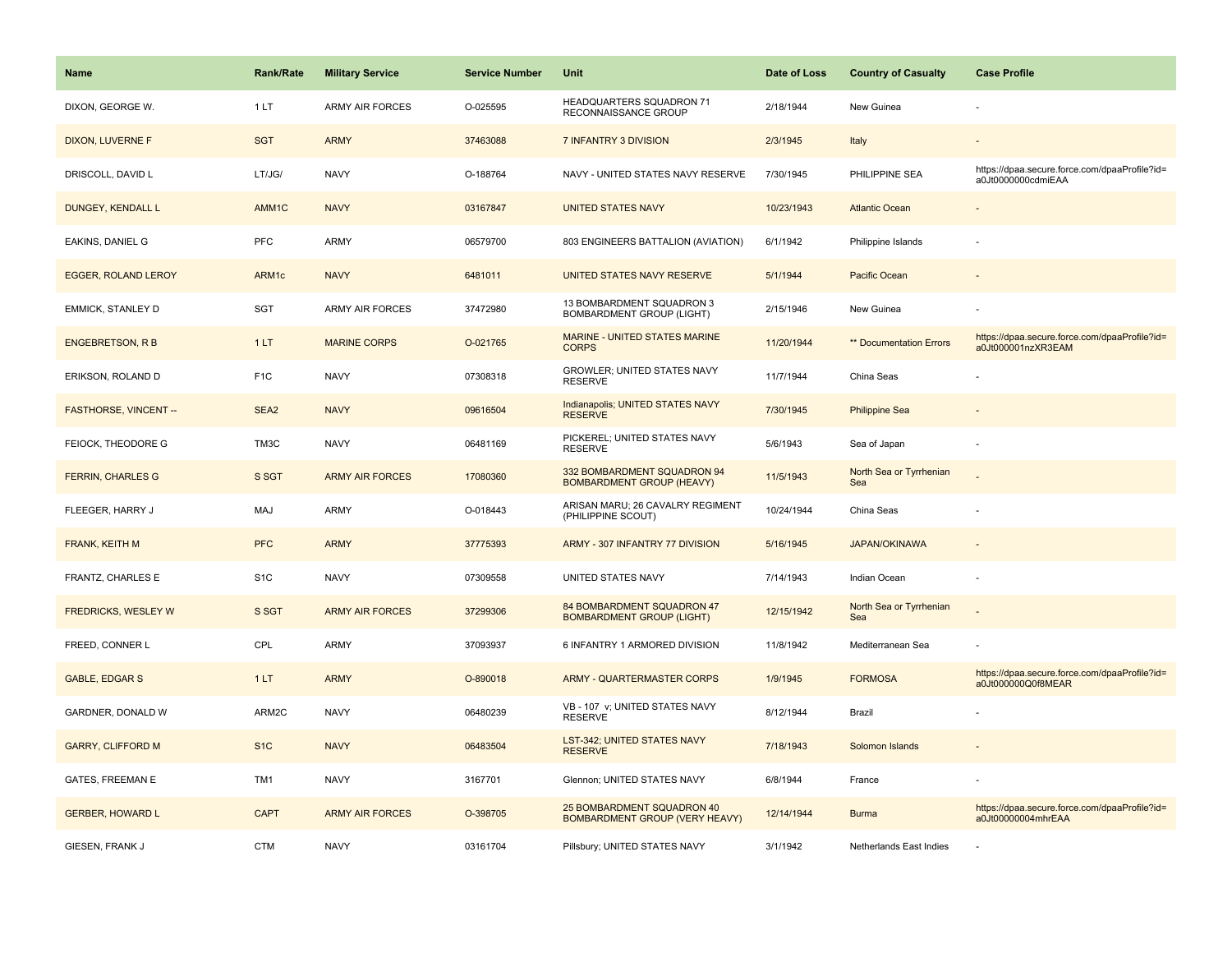| <b>Name</b>                  | <b>Rank/Rate</b> | <b>Military Service</b> | <b>Service Number</b> | Unit                                                                | Date of Loss | <b>Country of Casualty</b>     | <b>Case Profile</b>                                                 |
|------------------------------|------------------|-------------------------|-----------------------|---------------------------------------------------------------------|--------------|--------------------------------|---------------------------------------------------------------------|
| DIXON, GEORGE W.             | 1LT              | <b>ARMY AIR FORCES</b>  | O-025595              | HEADQUARTERS SQUADRON 71<br>RECONNAISSANCE GROUP                    | 2/18/1944    | New Guinea                     |                                                                     |
| <b>DIXON, LUVERNE F</b>      | <b>SGT</b>       | <b>ARMY</b>             | 37463088              | 7 INFANTRY 3 DIVISION                                               | 2/3/1945     | Italy                          |                                                                     |
| DRISCOLL, DAVID L            | LT/JG/           | <b>NAVY</b>             | O-188764              | NAVY - UNITED STATES NAVY RESERVE                                   | 7/30/1945    | PHILIPPINE SEA                 | https://dpaa.secure.force.com/dpaaProfile?id=<br>a0Jt0000000cdmiEAA |
| DUNGEY, KENDALL L            | AMM1C            | <b>NAVY</b>             | 03167847              | <b>UNITED STATES NAVY</b>                                           | 10/23/1943   | <b>Atlantic Ocean</b>          |                                                                     |
| EAKINS, DANIEL G             | <b>PFC</b>       | ARMY                    | 06579700              | 803 ENGINEERS BATTALION (AVIATION)                                  | 6/1/1942     | Philippine Islands             |                                                                     |
| <b>EGGER, ROLAND LEROY</b>   | ARM1c            | <b>NAVY</b>             | 6481011               | UNITED STATES NAVY RESERVE                                          | 5/1/1944     | Pacific Ocean                  |                                                                     |
| EMMICK, STANLEY D            | <b>SGT</b>       | <b>ARMY AIR FORCES</b>  | 37472980              | 13 BOMBARDMENT SQUADRON 3<br><b>BOMBARDMENT GROUP (LIGHT)</b>       | 2/15/1946    | New Guinea                     |                                                                     |
| <b>ENGEBRETSON, R B</b>      | 1LT              | <b>MARINE CORPS</b>     | O-021765              | MARINE - UNITED STATES MARINE<br><b>CORPS</b>                       | 11/20/1944   | <b>** Documentation Errors</b> | https://dpaa.secure.force.com/dpaaProfile?id=<br>a0Jt000001nzXR3EAM |
| ERIKSON, ROLAND D            | F <sub>1</sub> C | <b>NAVY</b>             | 07308318              | GROWLER; UNITED STATES NAVY<br><b>RESERVE</b>                       | 11/7/1944    | China Seas                     |                                                                     |
| <b>FASTHORSE, VINCENT --</b> | SEA <sub>2</sub> | <b>NAVY</b>             | 09616504              | Indianapolis; UNITED STATES NAVY<br><b>RESERVE</b>                  | 7/30/1945    | <b>Philippine Sea</b>          |                                                                     |
| FEIOCK, THEODORE G           | TM3C             | <b>NAVY</b>             | 06481169              | PICKEREL; UNITED STATES NAVY<br><b>RESERVE</b>                      | 5/6/1943     | Sea of Japan                   |                                                                     |
| <b>FERRIN, CHARLES G</b>     | S SGT            | <b>ARMY AIR FORCES</b>  | 17080360              | 332 BOMBARDMENT SQUADRON 94<br><b>BOMBARDMENT GROUP (HEAVY)</b>     | 11/5/1943    | North Sea or Tyrrhenian<br>Sea |                                                                     |
| FLEEGER, HARRY J             | MAJ              | ARMY                    | O-018443              | ARISAN MARU; 26 CAVALRY REGIMENT<br>(PHILIPPINE SCOUT)              | 10/24/1944   | China Seas                     |                                                                     |
| FRANK, KEITH M               | <b>PFC</b>       | <b>ARMY</b>             | 37775393              | ARMY - 307 INFANTRY 77 DIVISION                                     | 5/16/1945    | <b>JAPAN/OKINAWA</b>           |                                                                     |
| FRANTZ, CHARLES E            | S <sub>1</sub> C | <b>NAVY</b>             | 07309558              | UNITED STATES NAVY                                                  | 7/14/1943    | Indian Ocean                   |                                                                     |
| <b>FREDRICKS, WESLEY W</b>   | S SGT            | <b>ARMY AIR FORCES</b>  | 37299306              | 84 BOMBARDMENT SQUADRON 47<br><b>BOMBARDMENT GROUP (LIGHT)</b>      | 12/15/1942   | North Sea or Tyrrhenian<br>Sea |                                                                     |
| FREED, CONNER L              | CPL              | <b>ARMY</b>             | 37093937              | 6 INFANTRY 1 ARMORED DIVISION                                       | 11/8/1942    | Mediterranean Sea              |                                                                     |
| <b>GABLE, EDGAR S</b>        | 1LT              | <b>ARMY</b>             | O-890018              | <b>ARMY - QUARTERMASTER CORPS</b>                                   | 1/9/1945     | <b>FORMOSA</b>                 | https://dpaa.secure.force.com/dpaaProfile?id=<br>a0Jt000000Q0f8MEAR |
| GARDNER, DONALD W            | ARM2C            | <b>NAVY</b>             | 06480239              | VB - 107 v; UNITED STATES NAVY<br><b>RESERVE</b>                    | 8/12/1944    | Brazil                         |                                                                     |
| <b>GARRY, CLIFFORD M</b>     | S <sub>1C</sub>  | <b>NAVY</b>             | 06483504              | LST-342; UNITED STATES NAVY<br><b>RESERVE</b>                       | 7/18/1943    | Solomon Islands                |                                                                     |
| <b>GATES, FREEMAN E</b>      | TM1              | <b>NAVY</b>             | 3167701               | Glennon; UNITED STATES NAVY                                         | 6/8/1944     | France                         |                                                                     |
| <b>GERBER, HOWARD L</b>      | <b>CAPT</b>      | <b>ARMY AIR FORCES</b>  | O-398705              | 25 BOMBARDMENT SQUADRON 40<br><b>BOMBARDMENT GROUP (VERY HEAVY)</b> | 12/14/1944   | <b>Burma</b>                   | https://dpaa.secure.force.com/dpaaProfile?id=<br>a0Jt00000004mhrEAA |
| GIESEN, FRANK J              | <b>CTM</b>       | <b>NAVY</b>             | 03161704              | Pillsbury; UNITED STATES NAVY                                       | 3/1/1942     | Netherlands East Indies        |                                                                     |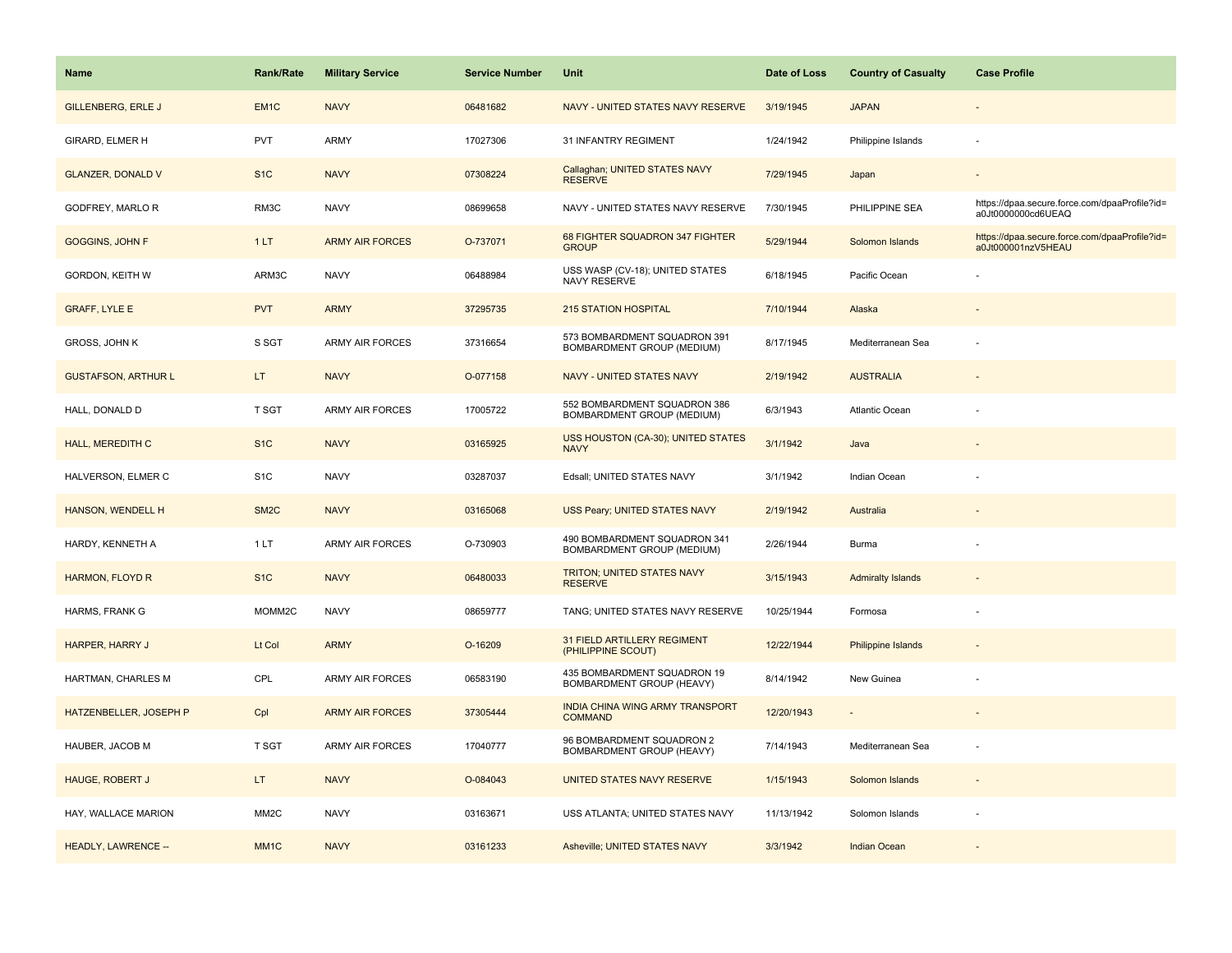| <b>Name</b>                | Rank/Rate         | <b>Military Service</b> | <b>Service Number</b> | Unit                                                       | Date of Loss | <b>Country of Casualty</b> | <b>Case Profile</b>                                                 |
|----------------------------|-------------------|-------------------------|-----------------------|------------------------------------------------------------|--------------|----------------------------|---------------------------------------------------------------------|
| <b>GILLENBERG, ERLE J</b>  | EM <sub>1C</sub>  | <b>NAVY</b>             | 06481682              | NAVY - UNITED STATES NAVY RESERVE                          | 3/19/1945    | <b>JAPAN</b>               |                                                                     |
| GIRARD, ELMER H            | PVT               | ARMY                    | 17027306              | 31 INFANTRY REGIMENT                                       | 1/24/1942    | Philippine Islands         | ٠                                                                   |
| <b>GLANZER, DONALD V</b>   | S <sub>1</sub> C  | <b>NAVY</b>             | 07308224              | Callaghan; UNITED STATES NAVY<br><b>RESERVE</b>            | 7/29/1945    | Japan                      |                                                                     |
| GODFREY, MARLO R           | RM3C              | <b>NAVY</b>             | 08699658              | NAVY - UNITED STATES NAVY RESERVE                          | 7/30/1945    | PHILIPPINE SEA             | https://dpaa.secure.force.com/dpaaProfile?id=<br>a0Jt0000000cd6UEAQ |
| <b>GOGGINS, JOHN F</b>     | 1LT               | <b>ARMY AIR FORCES</b>  | O-737071              | 68 FIGHTER SQUADRON 347 FIGHTER<br><b>GROUP</b>            | 5/29/1944    | Solomon Islands            | https://dpaa.secure.force.com/dpaaProfile?id=<br>a0Jt000001nzV5HEAU |
| GORDON, KEITH W            | ARM3C             | <b>NAVY</b>             | 06488984              | USS WASP (CV-18); UNITED STATES<br>NAVY RESERVE            | 6/18/1945    | Pacific Ocean              |                                                                     |
| <b>GRAFF, LYLE E</b>       | <b>PVT</b>        | <b>ARMY</b>             | 37295735              | <b>215 STATION HOSPITAL</b>                                | 7/10/1944    | Alaska                     |                                                                     |
| GROSS, JOHN K              | S SGT             | <b>ARMY AIR FORCES</b>  | 37316654              | 573 BOMBARDMENT SQUADRON 391<br>BOMBARDMENT GROUP (MEDIUM) | 8/17/1945    | Mediterranean Sea          |                                                                     |
| <b>GUSTAFSON, ARTHUR L</b> | LT.               | <b>NAVY</b>             | O-077158              | <b>NAVY - UNITED STATES NAVY</b>                           | 2/19/1942    | <b>AUSTRALIA</b>           |                                                                     |
| HALL, DONALD D             | T SGT             | ARMY AIR FORCES         | 17005722              | 552 BOMBARDMENT SQUADRON 386<br>BOMBARDMENT GROUP (MEDIUM) | 6/3/1943     | Atlantic Ocean             |                                                                     |
| <b>HALL, MEREDITH C</b>    | S <sub>1</sub> C  | <b>NAVY</b>             | 03165925              | USS HOUSTON (CA-30); UNITED STATES<br><b>NAVY</b>          | 3/1/1942     | Java                       |                                                                     |
| HALVERSON, ELMER C         | S <sub>1</sub> C  | <b>NAVY</b>             | 03287037              | Edsall; UNITED STATES NAVY                                 | 3/1/1942     | Indian Ocean               |                                                                     |
| HANSON, WENDELL H          | SM <sub>2</sub> C | <b>NAVY</b>             | 03165068              | USS Peary; UNITED STATES NAVY                              | 2/19/1942    | Australia                  |                                                                     |
| HARDY, KENNETH A           | 1LT               | <b>ARMY AIR FORCES</b>  | O-730903              | 490 BOMBARDMENT SQUADRON 341<br>BOMBARDMENT GROUP (MEDIUM) | 2/26/1944    | Burma                      |                                                                     |
| <b>HARMON, FLOYD R</b>     | S <sub>1</sub> C  | <b>NAVY</b>             | 06480033              | TRITON; UNITED STATES NAVY<br><b>RESERVE</b>               | 3/15/1943    | <b>Admiralty Islands</b>   |                                                                     |
| HARMS, FRANK G             | MOMM2C            | <b>NAVY</b>             | 08659777              | TANG; UNITED STATES NAVY RESERVE                           | 10/25/1944   | Formosa                    |                                                                     |
| HARPER, HARRY J            | Lt Col            | <b>ARMY</b>             | O-16209               | 31 FIELD ARTILLERY REGIMENT<br>(PHILIPPINE SCOUT)          | 12/22/1944   | <b>Philippine Islands</b>  |                                                                     |
| HARTMAN, CHARLES M         | CPL               | ARMY AIR FORCES         | 06583190              | 435 BOMBARDMENT SQUADRON 19<br>BOMBARDMENT GROUP (HEAVY)   | 8/14/1942    | New Guinea                 |                                                                     |
| HATZENBELLER, JOSEPH P     | Cpl               | <b>ARMY AIR FORCES</b>  | 37305444              | INDIA CHINA WING ARMY TRANSPORT<br><b>COMMAND</b>          | 12/20/1943   |                            |                                                                     |
| HAUBER, JACOB M            | <b>T SGT</b>      | <b>ARMY AIR FORCES</b>  | 17040777              | 96 BOMBARDMENT SQUADRON 2<br>BOMBARDMENT GROUP (HEAVY)     | 7/14/1943    | Mediterranean Sea          |                                                                     |
| HAUGE, ROBERT J            | LT.               | <b>NAVY</b>             | O-084043              | UNITED STATES NAVY RESERVE                                 | 1/15/1943    | Solomon Islands            |                                                                     |
| HAY, WALLACE MARION        | MM <sub>2</sub> C | <b>NAVY</b>             | 03163671              | USS ATLANTA; UNITED STATES NAVY                            | 11/13/1942   | Solomon Islands            |                                                                     |
| <b>HEADLY, LAWRENCE --</b> | MM <sub>1</sub> C | <b>NAVY</b>             | 03161233              | Asheville; UNITED STATES NAVY                              | 3/3/1942     | <b>Indian Ocean</b>        |                                                                     |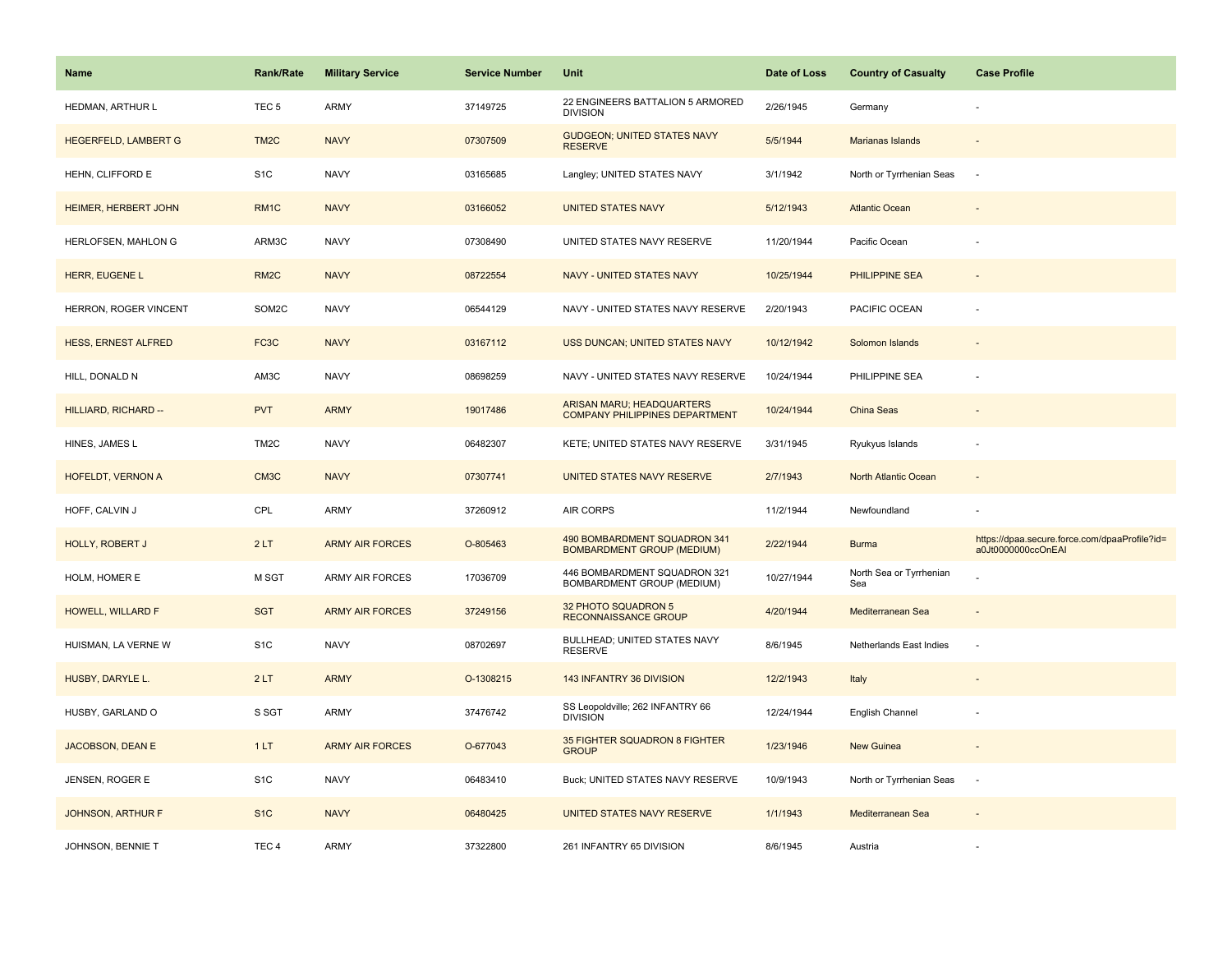| Name                        | <b>Rank/Rate</b>  | <b>Military Service</b> | <b>Service Number</b> | Unit                                                              | Date of Loss | <b>Country of Casualty</b>     | <b>Case Profile</b>                                                 |
|-----------------------------|-------------------|-------------------------|-----------------------|-------------------------------------------------------------------|--------------|--------------------------------|---------------------------------------------------------------------|
| HEDMAN, ARTHUR L            | TEC <sub>5</sub>  | ARMY                    | 37149725              | 22 ENGINEERS BATTALION 5 ARMORED<br><b>DIVISION</b>               | 2/26/1945    | Germany                        |                                                                     |
| <b>HEGERFELD, LAMBERT G</b> | TM <sub>2</sub> C | <b>NAVY</b>             | 07307509              | <b>GUDGEON; UNITED STATES NAVY</b><br><b>RESERVE</b>              | 5/5/1944     | <b>Marianas Islands</b>        |                                                                     |
| HEHN, CLIFFORD E            | S <sub>1</sub> C  | <b>NAVY</b>             | 03165685              | Langley; UNITED STATES NAVY                                       | 3/1/1942     | North or Tyrrhenian Seas       | $\sim$                                                              |
| HEIMER, HERBERT JOHN        | RM <sub>1</sub> C | <b>NAVY</b>             | 03166052              | <b>UNITED STATES NAVY</b>                                         | 5/12/1943    | <b>Atlantic Ocean</b>          |                                                                     |
| HERLOFSEN, MAHLON G         | ARM3C             | <b>NAVY</b>             | 07308490              | UNITED STATES NAVY RESERVE                                        | 11/20/1944   | Pacific Ocean                  |                                                                     |
| HERR, EUGENE L              | RM <sub>2</sub> C | <b>NAVY</b>             | 08722554              | NAVY - UNITED STATES NAVY                                         | 10/25/1944   | <b>PHILIPPINE SEA</b>          |                                                                     |
| HERRON, ROGER VINCENT       | SOM2C             | <b>NAVY</b>             | 06544129              | NAVY - UNITED STATES NAVY RESERVE                                 | 2/20/1943    | PACIFIC OCEAN                  |                                                                     |
| <b>HESS, ERNEST ALFRED</b>  | FC <sub>3</sub> C | <b>NAVY</b>             | 03167112              | USS DUNCAN; UNITED STATES NAVY                                    | 10/12/1942   | Solomon Islands                |                                                                     |
| HILL, DONALD N              | AM3C              | <b>NAVY</b>             | 08698259              | NAVY - UNITED STATES NAVY RESERVE                                 | 10/24/1944   | PHILIPPINE SEA                 |                                                                     |
| HILLIARD, RICHARD --        | <b>PVT</b>        | <b>ARMY</b>             | 19017486              | ARISAN MARU; HEADQUARTERS<br>COMPANY PHILIPPINES DEPARTMENT       | 10/24/1944   | China Seas                     |                                                                     |
| HINES, JAMES L              | TM <sub>2</sub> C | <b>NAVY</b>             | 06482307              | KETE; UNITED STATES NAVY RESERVE                                  | 3/31/1945    | Ryukyus Islands                |                                                                     |
| HOFELDT, VERNON A           | CM3C              | <b>NAVY</b>             | 07307741              | UNITED STATES NAVY RESERVE                                        | 2/7/1943     | North Atlantic Ocean           | $\sim$                                                              |
| HOFF, CALVIN J              | CPL               | ARMY                    | 37260912              | <b>AIR CORPS</b>                                                  | 11/2/1944    | Newfoundland                   |                                                                     |
| HOLLY, ROBERT J             | 2LT               | <b>ARMY AIR FORCES</b>  | O-805463              | 490 BOMBARDMENT SQUADRON 341<br><b>BOMBARDMENT GROUP (MEDIUM)</b> | 2/22/1944    | <b>Burma</b>                   | https://dpaa.secure.force.com/dpaaProfile?id=<br>a0Jt0000000ccOnEAI |
| HOLM, HOMER E               | M SGT             | ARMY AIR FORCES         | 17036709              | 446 BOMBARDMENT SQUADRON 321<br>BOMBARDMENT GROUP (MEDIUM)        | 10/27/1944   | North Sea or Tyrrhenian<br>Sea |                                                                     |
| HOWELL, WILLARD F           | <b>SGT</b>        | <b>ARMY AIR FORCES</b>  | 37249156              | 32 PHOTO SQUADRON 5<br><b>RECONNAISSANCE GROUP</b>                | 4/20/1944    | Mediterranean Sea              |                                                                     |
| HUISMAN, LA VERNE W         | S <sub>1</sub> C  | <b>NAVY</b>             | 08702697              | BULLHEAD; UNITED STATES NAVY<br><b>RESERVE</b>                    | 8/6/1945     | Netherlands East Indies        |                                                                     |
| HUSBY, DARYLE L.            | 2LT               | <b>ARMY</b>             | O-1308215             | 143 INFANTRY 36 DIVISION                                          | 12/2/1943    | Italy                          |                                                                     |
| HUSBY, GARLAND O            | S SGT             | ARMY                    | 37476742              | SS Leopoldville; 262 INFANTRY 66<br><b>DIVISION</b>               | 12/24/1944   | English Channel                |                                                                     |
| JACOBSON, DEAN E            | 1LT               | <b>ARMY AIR FORCES</b>  | O-677043              | 35 FIGHTER SQUADRON 8 FIGHTER<br><b>GROUP</b>                     | 1/23/1946    | New Guinea                     |                                                                     |
| JENSEN, ROGER E             | S <sub>1</sub> C  | <b>NAVY</b>             | 06483410              | Buck; UNITED STATES NAVY RESERVE                                  | 10/9/1943    | North or Tyrrhenian Seas       | $\sim$                                                              |
| <b>JOHNSON, ARTHUR F</b>    | S <sub>1C</sub>   | <b>NAVY</b>             | 06480425              | UNITED STATES NAVY RESERVE                                        | 1/1/1943     | Mediterranean Sea              |                                                                     |
| JOHNSON, BENNIE T           | TEC <sub>4</sub>  | ARMY                    | 37322800              | 261 INFANTRY 65 DIVISION                                          | 8/6/1945     | Austria                        |                                                                     |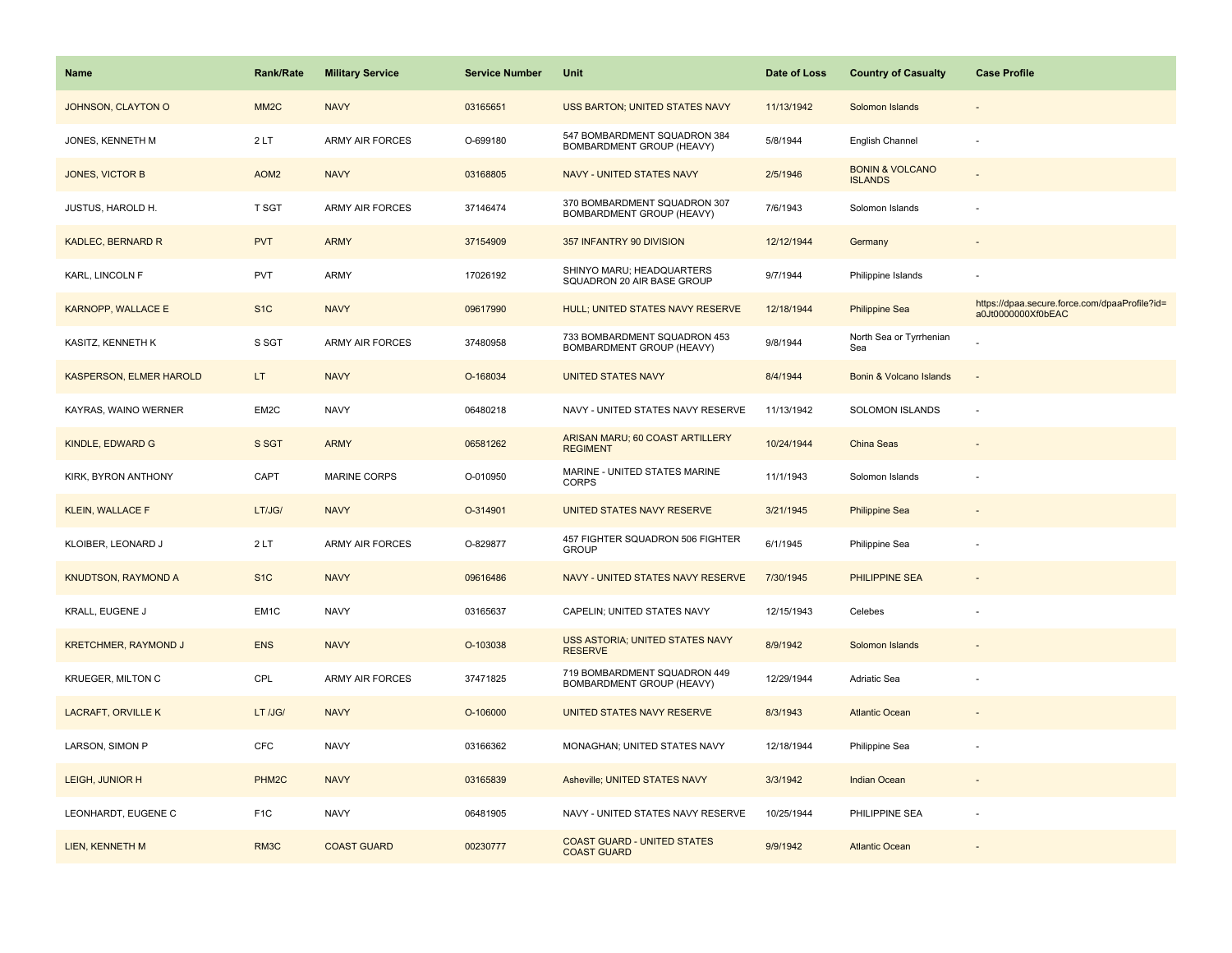| <b>Name</b>                    | <b>Rank/Rate</b>  | <b>Military Service</b> | <b>Service Number</b> | Unit                                                      | Date of Loss | <b>Country of Casualty</b>                   | <b>Case Profile</b>                                                 |
|--------------------------------|-------------------|-------------------------|-----------------------|-----------------------------------------------------------|--------------|----------------------------------------------|---------------------------------------------------------------------|
| JOHNSON, CLAYTON O             | MM <sub>2</sub> C | <b>NAVY</b>             | 03165651              | USS BARTON; UNITED STATES NAVY                            | 11/13/1942   | Solomon Islands                              |                                                                     |
| JONES, KENNETH M               | 2LT               | <b>ARMY AIR FORCES</b>  | O-699180              | 547 BOMBARDMENT SQUADRON 384<br>BOMBARDMENT GROUP (HEAVY) | 5/8/1944     | English Channel                              | $\sim$                                                              |
| JONES, VICTOR B                | AOM <sub>2</sub>  | <b>NAVY</b>             | 03168805              | <b>NAVY - UNITED STATES NAVY</b>                          | 2/5/1946     | <b>BONIN &amp; VOLCANO</b><br><b>ISLANDS</b> |                                                                     |
| JUSTUS, HAROLD H.              | T SGT             | <b>ARMY AIR FORCES</b>  | 37146474              | 370 BOMBARDMENT SQUADRON 307<br>BOMBARDMENT GROUP (HEAVY) | 7/6/1943     | Solomon Islands                              |                                                                     |
| KADLEC, BERNARD R              | <b>PVT</b>        | <b>ARMY</b>             | 37154909              | 357 INFANTRY 90 DIVISION                                  | 12/12/1944   | Germany                                      |                                                                     |
| KARL, LINCOLN F                | <b>PVT</b>        | <b>ARMY</b>             | 17026192              | SHINYO MARU; HEADQUARTERS<br>SQUADRON 20 AIR BASE GROUP   | 9/7/1944     | Philippine Islands                           |                                                                     |
| <b>KARNOPP, WALLACE E</b>      | S <sub>1</sub> C  | <b>NAVY</b>             | 09617990              | HULL; UNITED STATES NAVY RESERVE                          | 12/18/1944   | <b>Philippine Sea</b>                        | https://dpaa.secure.force.com/dpaaProfile?id=<br>a0Jt0000000Xf0bEAC |
| KASITZ, KENNETH K              | S SGT             | <b>ARMY AIR FORCES</b>  | 37480958              | 733 BOMBARDMENT SQUADRON 453<br>BOMBARDMENT GROUP (HEAVY) | 9/8/1944     | North Sea or Tyrrhenian<br>Sea               |                                                                     |
| <b>KASPERSON, ELMER HAROLD</b> | LT.               | <b>NAVY</b>             | O-168034              | <b>UNITED STATES NAVY</b>                                 | 8/4/1944     | Bonin & Volcano Islands                      | ÷,                                                                  |
| KAYRAS, WAINO WERNER           | EM2C              | <b>NAVY</b>             | 06480218              | NAVY - UNITED STATES NAVY RESERVE                         | 11/13/1942   | <b>SOLOMON ISLANDS</b>                       | ÷.                                                                  |
| KINDLE, EDWARD G               | S SGT             | <b>ARMY</b>             | 06581262              | ARISAN MARU; 60 COAST ARTILLERY<br><b>REGIMENT</b>        | 10/24/1944   | China Seas                                   |                                                                     |
| KIRK, BYRON ANTHONY            | CAPT              | <b>MARINE CORPS</b>     | O-010950              | MARINE - UNITED STATES MARINE<br><b>CORPS</b>             | 11/1/1943    | Solomon Islands                              |                                                                     |
| <b>KLEIN, WALLACE F</b>        | LT/JG/            | <b>NAVY</b>             | O-314901              | UNITED STATES NAVY RESERVE                                | 3/21/1945    | <b>Philippine Sea</b>                        |                                                                     |
| KLOIBER, LEONARD J             | 2LT               | <b>ARMY AIR FORCES</b>  | O-829877              | 457 FIGHTER SQUADRON 506 FIGHTER<br><b>GROUP</b>          | 6/1/1945     | Philippine Sea                               |                                                                     |
| <b>KNUDTSON, RAYMOND A</b>     | S <sub>1</sub> C  | <b>NAVY</b>             | 09616486              | NAVY - UNITED STATES NAVY RESERVE                         | 7/30/1945    | <b>PHILIPPINE SEA</b>                        |                                                                     |
| KRALL, EUGENE J                | EM <sub>1C</sub>  | <b>NAVY</b>             | 03165637              | CAPELIN; UNITED STATES NAVY                               | 12/15/1943   | Celebes                                      |                                                                     |
| <b>KRETCHMER, RAYMOND J</b>    | <b>ENS</b>        | <b>NAVY</b>             | O-103038              | USS ASTORIA; UNITED STATES NAVY<br><b>RESERVE</b>         | 8/9/1942     | Solomon Islands                              |                                                                     |
| <b>KRUEGER, MILTON C</b>       | CPL               | <b>ARMY AIR FORCES</b>  | 37471825              | 719 BOMBARDMENT SQUADRON 449<br>BOMBARDMENT GROUP (HEAVY) | 12/29/1944   | Adriatic Sea                                 |                                                                     |
| <b>LACRAFT, ORVILLE K</b>      | LT /JG/           | <b>NAVY</b>             | O-106000              | UNITED STATES NAVY RESERVE                                | 8/3/1943     | <b>Atlantic Ocean</b>                        |                                                                     |
| LARSON, SIMON P                | <b>CFC</b>        | <b>NAVY</b>             | 03166362              | MONAGHAN; UNITED STATES NAVY                              | 12/18/1944   | Philippine Sea                               |                                                                     |
| LEIGH, JUNIOR H                | PHM <sub>2C</sub> | <b>NAVY</b>             | 03165839              | Asheville; UNITED STATES NAVY                             | 3/3/1942     | <b>Indian Ocean</b>                          |                                                                     |
| LEONHARDT, EUGENE C            | F <sub>1</sub> C  | <b>NAVY</b>             | 06481905              | NAVY - UNITED STATES NAVY RESERVE                         | 10/25/1944   | PHILIPPINE SEA                               |                                                                     |
| LIEN, KENNETH M                | RM3C              | <b>COAST GUARD</b>      | 00230777              | <b>COAST GUARD - UNITED STATES</b><br><b>COAST GUARD</b>  | 9/9/1942     | <b>Atlantic Ocean</b>                        |                                                                     |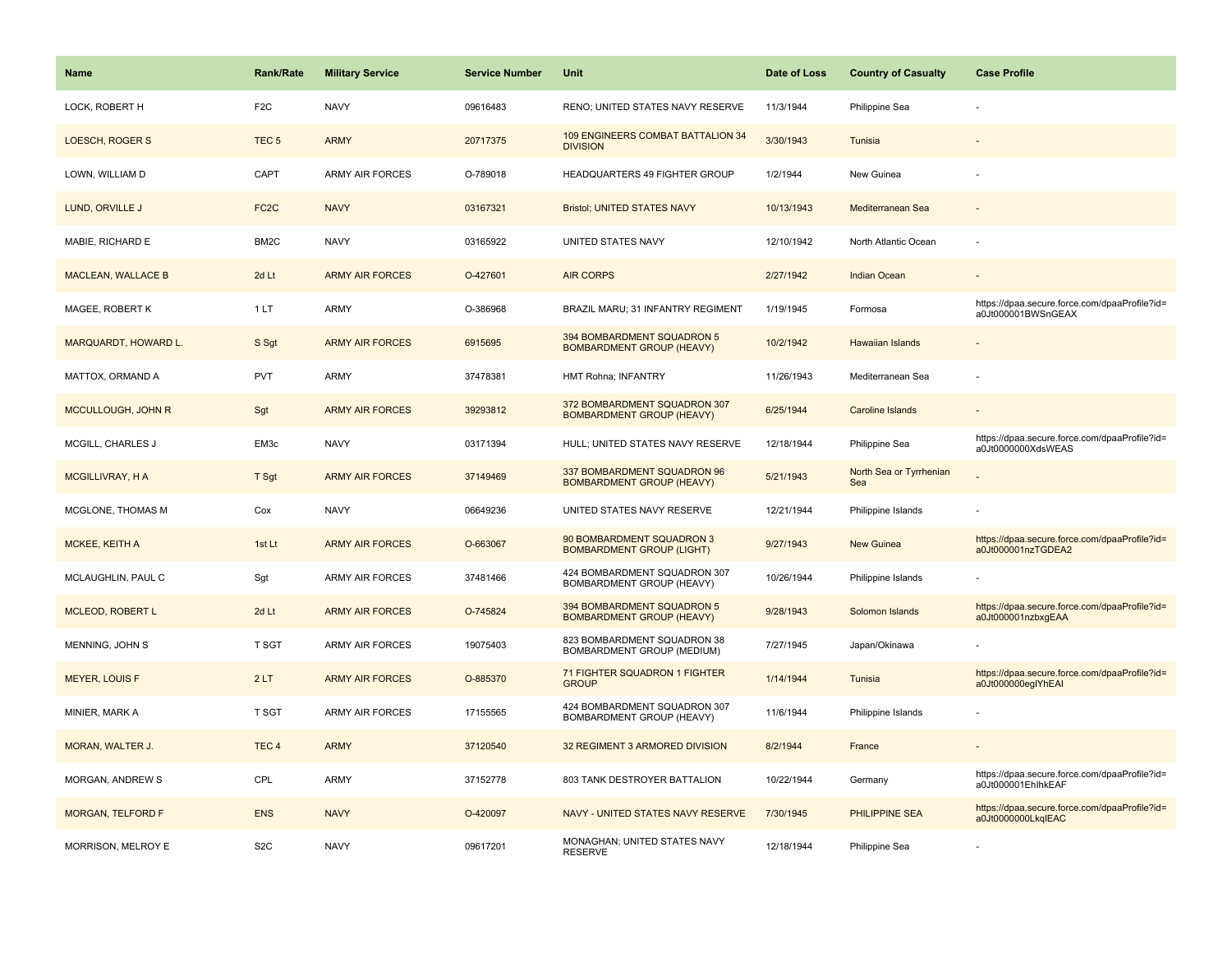| <b>Name</b>               | <b>Rank/Rate</b>  | <b>Military Service</b> | <b>Service Number</b> | Unit                                                             | Date of Loss | <b>Country of Casualty</b>     | <b>Case Profile</b>                                                 |
|---------------------------|-------------------|-------------------------|-----------------------|------------------------------------------------------------------|--------------|--------------------------------|---------------------------------------------------------------------|
| LOCK, ROBERT H            | F <sub>2</sub> C  | <b>NAVY</b>             | 09616483              | RENO; UNITED STATES NAVY RESERVE                                 | 11/3/1944    | Philippine Sea                 |                                                                     |
| LOESCH, ROGER S           | TEC <sub>5</sub>  | <b>ARMY</b>             | 20717375              | 109 ENGINEERS COMBAT BATTALION 34<br><b>DIVISION</b>             | 3/30/1943    | Tunisia                        |                                                                     |
| LOWN, WILLIAM D           | CAPT              | <b>ARMY AIR FORCES</b>  | O-789018              | HEADQUARTERS 49 FIGHTER GROUP                                    | 1/2/1944     | New Guinea                     |                                                                     |
| LUND, ORVILLE J           | FC <sub>2</sub> C | <b>NAVY</b>             | 03167321              | <b>Bristol; UNITED STATES NAVY</b>                               | 10/13/1943   | Mediterranean Sea              |                                                                     |
| MABIE, RICHARD E          | BM2C              | <b>NAVY</b>             | 03165922              | UNITED STATES NAVY                                               | 12/10/1942   | North Atlantic Ocean           |                                                                     |
| <b>MACLEAN, WALLACE B</b> | 2d Lt             | <b>ARMY AIR FORCES</b>  | O-427601              | <b>AIR CORPS</b>                                                 | 2/27/1942    | <b>Indian Ocean</b>            |                                                                     |
| MAGEE, ROBERT K           | 1 LT              | <b>ARMY</b>             | O-386968              | BRAZIL MARU; 31 INFANTRY REGIMENT                                | 1/19/1945    | Formosa                        | https://dpaa.secure.force.com/dpaaProfile?id=<br>a0Jt000001BWSnGEAX |
| MARQUARDT, HOWARD L.      | S Sgt             | <b>ARMY AIR FORCES</b>  | 6915695               | 394 BOMBARDMENT SQUADRON 5<br><b>BOMBARDMENT GROUP (HEAVY)</b>   | 10/2/1942    | <b>Hawaiian Islands</b>        |                                                                     |
| MATTOX, ORMAND A          | <b>PVT</b>        | ARMY                    | 37478381              | HMT Rohna; INFANTRY                                              | 11/26/1943   | Mediterranean Sea              |                                                                     |
| MCCULLOUGH, JOHN R        | Sgt               | <b>ARMY AIR FORCES</b>  | 39293812              | 372 BOMBARDMENT SQUADRON 307<br><b>BOMBARDMENT GROUP (HEAVY)</b> | 6/25/1944    | <b>Caroline Islands</b>        |                                                                     |
| <b>MCGILL, CHARLES J</b>  | EM3c              | <b>NAVY</b>             | 03171394              | HULL; UNITED STATES NAVY RESERVE                                 | 12/18/1944   | Philippine Sea                 | https://dpaa.secure.force.com/dpaaProfile?id=<br>a0Jt0000000XdsWEAS |
| <b>MCGILLIVRAY, H A</b>   | T Sgt             | <b>ARMY AIR FORCES</b>  | 37149469              | 337 BOMBARDMENT SQUADRON 96<br><b>BOMBARDMENT GROUP (HEAVY)</b>  | 5/21/1943    | North Sea or Tyrrhenian<br>Sea |                                                                     |
| MCGLONE, THOMAS M         | Cox               | <b>NAVY</b>             | 06649236              | UNITED STATES NAVY RESERVE                                       | 12/21/1944   | Philippine Islands             |                                                                     |
| MCKEE, KEITH A            | 1st Lt            | <b>ARMY AIR FORCES</b>  | O-663067              | 90 BOMBARDMENT SQUADRON 3<br><b>BOMBARDMENT GROUP (LIGHT)</b>    | 9/27/1943    | <b>New Guinea</b>              | https://dpaa.secure.force.com/dpaaProfile?id=<br>a0Jt000001nzTGDEA2 |
| MCLAUGHLIN, PAUL C        | Sgt               | <b>ARMY AIR FORCES</b>  | 37481466              | 424 BOMBARDMENT SQUADRON 307<br>BOMBARDMENT GROUP (HEAVY)        | 10/26/1944   | Philippine Islands             |                                                                     |
| <b>MCLEOD, ROBERT L</b>   | 2d Lt             | <b>ARMY AIR FORCES</b>  | O-745824              | 394 BOMBARDMENT SQUADRON 5<br><b>BOMBARDMENT GROUP (HEAVY)</b>   | 9/28/1943    | Solomon Islands                | https://dpaa.secure.force.com/dpaaProfile?id=<br>a0Jt000001nzbxgEAA |
| MENNING, JOHN S           | T SGT             | ARMY AIR FORCES         | 19075403              | 823 BOMBARDMENT SQUADRON 38<br>BOMBARDMENT GROUP (MEDIUM)        | 7/27/1945    | Japan/Okinawa                  |                                                                     |
| <b>MEYER, LOUIS F</b>     | 2LT               | <b>ARMY AIR FORCES</b>  | O-885370              | 71 FIGHTER SQUADRON 1 FIGHTER<br><b>GROUP</b>                    | 1/14/1944    | Tunisia                        | https://dpaa.secure.force.com/dpaaProfile?id=<br>a0Jt000000eglYhEAI |
| MINIER, MARK A            | T SGT             | <b>ARMY AIR FORCES</b>  | 17155565              | 424 BOMBARDMENT SQUADRON 307<br>BOMBARDMENT GROUP (HEAVY)        | 11/6/1944    | Philippine Islands             |                                                                     |
| MORAN, WALTER J.          | TEC <sub>4</sub>  | <b>ARMY</b>             | 37120540              | 32 REGIMENT 3 ARMORED DIVISION                                   | 8/2/1944     | France                         |                                                                     |
| MORGAN, ANDREW S          | CPL               | <b>ARMY</b>             | 37152778              | 803 TANK DESTROYER BATTALION                                     | 10/22/1944   | Germany                        | https://dpaa.secure.force.com/dpaaProfile?id=<br>a0Jt000001EhlhkEAF |
| <b>MORGAN, TELFORD F</b>  | <b>ENS</b>        | <b>NAVY</b>             | O-420097              | NAVY - UNITED STATES NAVY RESERVE                                | 7/30/1945    | PHILIPPINE SEA                 | https://dpaa.secure.force.com/dpaaProfile?id=<br>a0Jt0000000LkglEAC |
| MORRISON, MELROY E        | S <sub>2</sub> C  | <b>NAVY</b>             | 09617201              | MONAGHAN; UNITED STATES NAVY<br><b>RESERVE</b>                   | 12/18/1944   | Philippine Sea                 |                                                                     |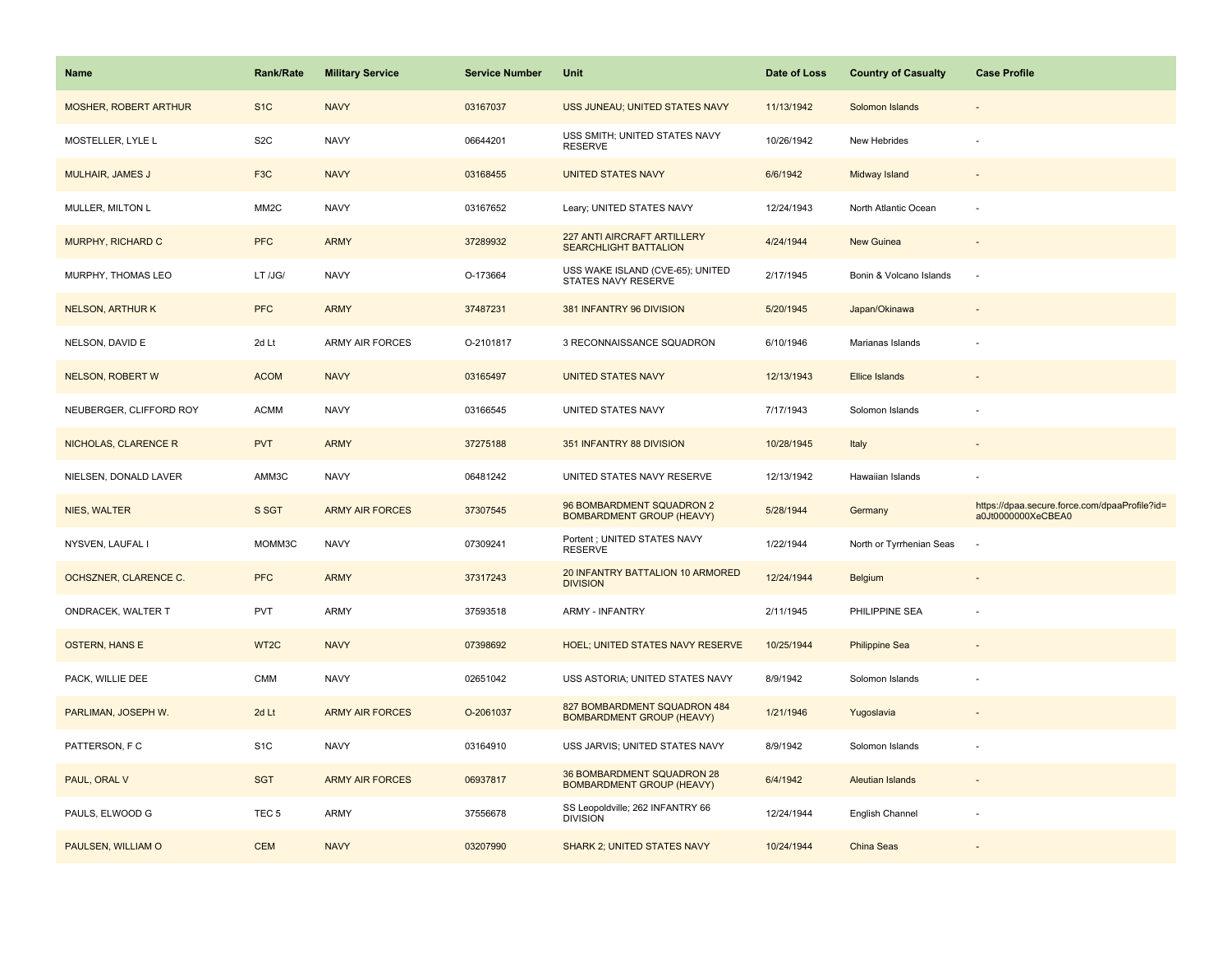| Name                         | Rank/Rate         | <b>Military Service</b> | <b>Service Number</b> | Unit                                                             | Date of Loss | <b>Country of Casualty</b> | <b>Case Profile</b>                                                 |
|------------------------------|-------------------|-------------------------|-----------------------|------------------------------------------------------------------|--------------|----------------------------|---------------------------------------------------------------------|
| <b>MOSHER, ROBERT ARTHUR</b> | S <sub>1</sub> C  | <b>NAVY</b>             | 03167037              | USS JUNEAU; UNITED STATES NAVY                                   | 11/13/1942   | Solomon Islands            |                                                                     |
| MOSTELLER, LYLE L            | S <sub>2</sub> C  | <b>NAVY</b>             | 06644201              | USS SMITH; UNITED STATES NAVY<br><b>RESERVE</b>                  | 10/26/1942   | New Hebrides               |                                                                     |
| MULHAIR, JAMES J             | F <sub>3</sub> C  | <b>NAVY</b>             | 03168455              | <b>UNITED STATES NAVY</b>                                        | 6/6/1942     | Midway Island              |                                                                     |
| MULLER, MILTON L             | MM <sub>2</sub> C | <b>NAVY</b>             | 03167652              | Leary; UNITED STATES NAVY                                        | 12/24/1943   | North Atlantic Ocean       |                                                                     |
| MURPHY, RICHARD C            | <b>PFC</b>        | <b>ARMY</b>             | 37289932              | 227 ANTI AIRCRAFT ARTILLERY<br><b>SEARCHLIGHT BATTALION</b>      | 4/24/1944    | <b>New Guinea</b>          |                                                                     |
| MURPHY, THOMAS LEO           | LT /JG/           | <b>NAVY</b>             | O-173664              | USS WAKE ISLAND (CVE-65); UNITED<br>STATES NAVY RESERVE          | 2/17/1945    | Bonin & Volcano Islands    |                                                                     |
| <b>NELSON, ARTHURK</b>       | <b>PFC</b>        | <b>ARMY</b>             | 37487231              | 381 INFANTRY 96 DIVISION                                         | 5/20/1945    | Japan/Okinawa              |                                                                     |
| NELSON, DAVID E              | 2d Lt             | <b>ARMY AIR FORCES</b>  | O-2101817             | 3 RECONNAISSANCE SQUADRON                                        | 6/10/1946    | Marianas Islands           |                                                                     |
| <b>NELSON, ROBERT W</b>      | <b>ACOM</b>       | <b>NAVY</b>             | 03165497              | <b>UNITED STATES NAVY</b>                                        | 12/13/1943   | <b>Ellice Islands</b>      |                                                                     |
| NEUBERGER, CLIFFORD ROY      | <b>ACMM</b>       | <b>NAVY</b>             | 03166545              | UNITED STATES NAVY                                               | 7/17/1943    | Solomon Islands            |                                                                     |
| NICHOLAS, CLARENCE R         | <b>PVT</b>        | <b>ARMY</b>             | 37275188              | 351 INFANTRY 88 DIVISION                                         | 10/28/1945   | Italy                      |                                                                     |
| NIELSEN, DONALD LAVER        | AMM3C             | <b>NAVY</b>             | 06481242              | UNITED STATES NAVY RESERVE                                       | 12/13/1942   | Hawaiian Islands           |                                                                     |
| <b>NIES, WALTER</b>          | S SGT             | <b>ARMY AIR FORCES</b>  | 37307545              | 96 BOMBARDMENT SQUADRON 2<br><b>BOMBARDMENT GROUP (HEAVY)</b>    | 5/28/1944    | Germany                    | https://dpaa.secure.force.com/dpaaProfile?id=<br>a0Jt0000000XeCBEA0 |
| NYSVEN, LAUFAL I             | MOMM3C            | <b>NAVY</b>             | 07309241              | Portent ; UNITED STATES NAVY<br><b>RESERVE</b>                   | 1/22/1944    | North or Tyrrhenian Seas   |                                                                     |
| OCHSZNER, CLARENCE C.        | <b>PFC</b>        | <b>ARMY</b>             | 37317243              | 20 INFANTRY BATTALION 10 ARMORED<br><b>DIVISION</b>              | 12/24/1944   | <b>Belgium</b>             |                                                                     |
| ONDRACEK, WALTER T           | <b>PVT</b>        | <b>ARMY</b>             | 37593518              | <b>ARMY - INFANTRY</b>                                           | 2/11/1945    | PHILIPPINE SEA             |                                                                     |
| <b>OSTERN, HANS E</b>        | WT <sub>2</sub> C | <b>NAVY</b>             | 07398692              | <b>HOEL; UNITED STATES NAVY RESERVE</b>                          | 10/25/1944   | <b>Philippine Sea</b>      |                                                                     |
| PACK, WILLIE DEE             | <b>CMM</b>        | <b>NAVY</b>             | 02651042              | USS ASTORIA; UNITED STATES NAVY                                  | 8/9/1942     | Solomon Islands            |                                                                     |
| PARLIMAN, JOSEPH W.          | 2d Lt             | <b>ARMY AIR FORCES</b>  | O-2061037             | 827 BOMBARDMENT SQUADRON 484<br><b>BOMBARDMENT GROUP (HEAVY)</b> | 1/21/1946    | Yugoslavia                 |                                                                     |
| PATTERSON, F C               | S <sub>1</sub> C  | <b>NAVY</b>             | 03164910              | USS JARVIS; UNITED STATES NAVY                                   | 8/9/1942     | Solomon Islands            |                                                                     |
| PAUL, ORAL V                 | <b>SGT</b>        | <b>ARMY AIR FORCES</b>  | 06937817              | 36 BOMBARDMENT SQUADRON 28<br><b>BOMBARDMENT GROUP (HEAVY)</b>   | 6/4/1942     | <b>Aleutian Islands</b>    |                                                                     |
| PAULS, ELWOOD G              | TEC <sub>5</sub>  | <b>ARMY</b>             | 37556678              | SS Leopoldville; 262 INFANTRY 66<br><b>DIVISION</b>              | 12/24/1944   | English Channel            |                                                                     |
| PAULSEN, WILLIAM O           | <b>CEM</b>        | <b>NAVY</b>             | 03207990              | <b>SHARK 2; UNITED STATES NAVY</b>                               | 10/24/1944   | China Seas                 |                                                                     |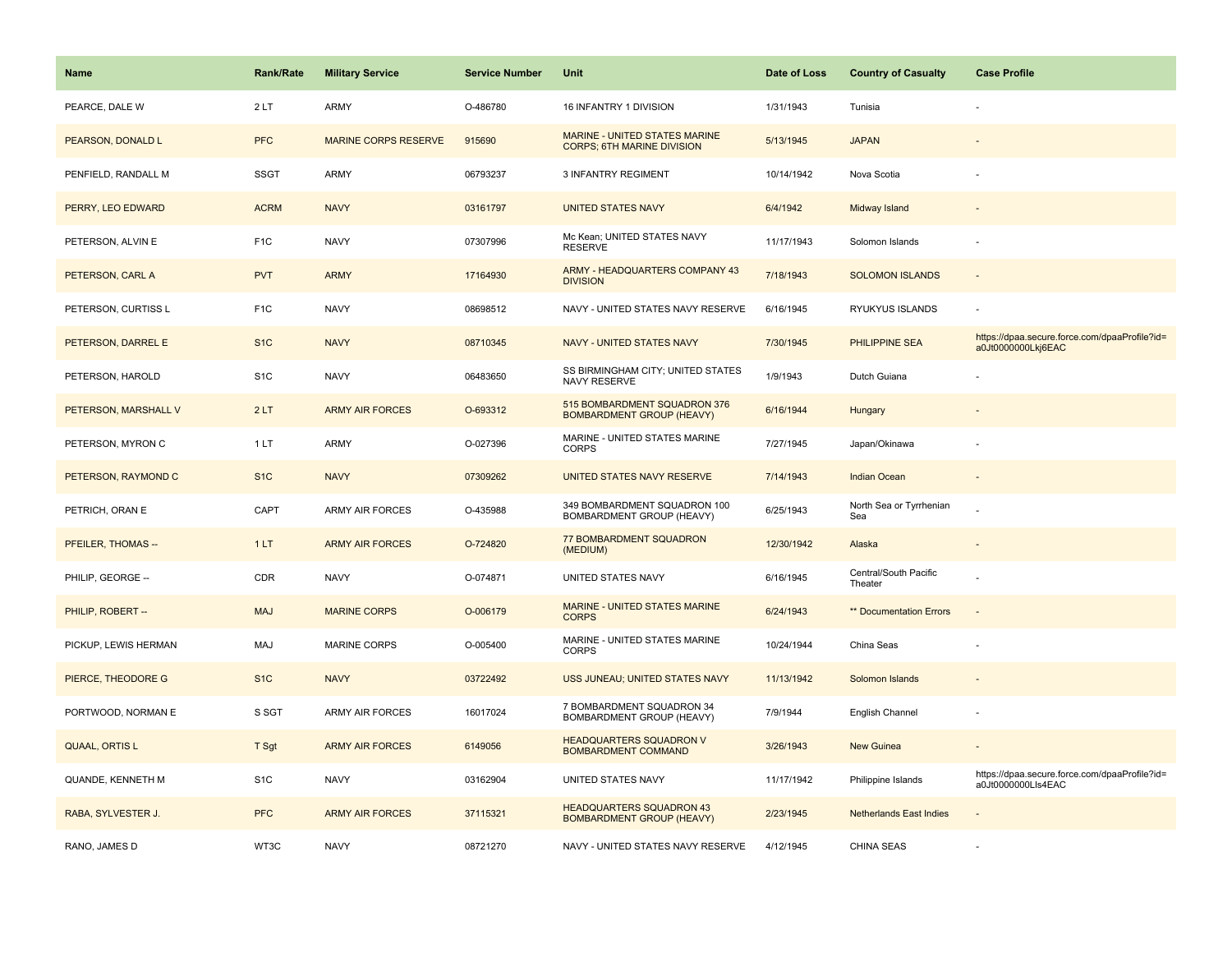| <b>Name</b>               | <b>Rank/Rate</b> | <b>Military Service</b>     | <b>Service Number</b> | <b>Unit</b>                                                         | Date of Loss | <b>Country of Casualty</b>       | <b>Case Profile</b>                                                 |
|---------------------------|------------------|-----------------------------|-----------------------|---------------------------------------------------------------------|--------------|----------------------------------|---------------------------------------------------------------------|
| PEARCE, DALE W            | 2LT              | <b>ARMY</b>                 | O-486780              | 16 INFANTRY 1 DIVISION                                              | 1/31/1943    | Tunisia                          |                                                                     |
| PEARSON, DONALD L         | <b>PFC</b>       | <b>MARINE CORPS RESERVE</b> | 915690                | MARINE - UNITED STATES MARINE<br><b>CORPS: 6TH MARINE DIVISION</b>  | 5/13/1945    | <b>JAPAN</b>                     |                                                                     |
| PENFIELD, RANDALL M       | <b>SSGT</b>      | <b>ARMY</b>                 | 06793237              | <b>3 INFANTRY REGIMENT</b>                                          | 10/14/1942   | Nova Scotia                      |                                                                     |
| PERRY, LEO EDWARD         | <b>ACRM</b>      | <b>NAVY</b>                 | 03161797              | <b>UNITED STATES NAVY</b>                                           | 6/4/1942     | Midway Island                    |                                                                     |
| PETERSON, ALVIN E         | F <sub>1</sub> C | <b>NAVY</b>                 | 07307996              | Mc Kean; UNITED STATES NAVY<br><b>RESERVE</b>                       | 11/17/1943   | Solomon Islands                  |                                                                     |
| PETERSON, CARL A          | <b>PVT</b>       | <b>ARMY</b>                 | 17164930              | ARMY - HEADQUARTERS COMPANY 43<br><b>DIVISION</b>                   | 7/18/1943    | <b>SOLOMON ISLANDS</b>           | $\sim$                                                              |
| PETERSON, CURTISS L       | F <sub>1</sub> C | <b>NAVY</b>                 | 08698512              | NAVY - UNITED STATES NAVY RESERVE                                   | 6/16/1945    | RYUKYUS ISLANDS                  |                                                                     |
| PETERSON, DARREL E        | S <sub>1C</sub>  | <b>NAVY</b>                 | 08710345              | NAVY - UNITED STATES NAVY                                           | 7/30/1945    | <b>PHILIPPINE SEA</b>            | https://dpaa.secure.force.com/dpaaProfile?id=<br>a0Jt0000000Lkj6EAC |
| PETERSON, HAROLD          | S <sub>1</sub> C | <b>NAVY</b>                 | 06483650              | SS BIRMINGHAM CITY; UNITED STATES<br>NAVY RESERVE                   | 1/9/1943     | Dutch Guiana                     |                                                                     |
| PETERSON, MARSHALL V      | 2LT              | <b>ARMY AIR FORCES</b>      | O-693312              | 515 BOMBARDMENT SQUADRON 376<br><b>BOMBARDMENT GROUP (HEAVY)</b>    | 6/16/1944    | Hungary                          |                                                                     |
| PETERSON, MYRON C         | 1 LT             | <b>ARMY</b>                 | O-027396              | MARINE - UNITED STATES MARINE<br><b>CORPS</b>                       | 7/27/1945    | Japan/Okinawa                    |                                                                     |
| PETERSON, RAYMOND C       | S <sub>1</sub> C | <b>NAVY</b>                 | 07309262              | UNITED STATES NAVY RESERVE                                          | 7/14/1943    | <b>Indian Ocean</b>              | $\sim$                                                              |
| PETRICH, ORAN E           | CAPT             | <b>ARMY AIR FORCES</b>      | O-435988              | 349 BOMBARDMENT SQUADRON 100<br>BOMBARDMENT GROUP (HEAVY)           | 6/25/1943    | North Sea or Tyrrhenian<br>Sea   |                                                                     |
| <b>PFEILER, THOMAS --</b> | 1LT              | <b>ARMY AIR FORCES</b>      | O-724820              | 77 BOMBARDMENT SQUADRON<br>(MEDIUM)                                 | 12/30/1942   | Alaska                           |                                                                     |
| PHILIP, GEORGE --         | CDR              | <b>NAVY</b>                 | O-074871              | UNITED STATES NAVY                                                  | 6/16/1945    | Central/South Pacific<br>Theater |                                                                     |
| PHILIP, ROBERT --         | <b>MAJ</b>       | <b>MARINE CORPS</b>         | O-006179              | MARINE - UNITED STATES MARINE<br><b>CORPS</b>                       | 6/24/1943    | ** Documentation Errors          |                                                                     |
| PICKUP, LEWIS HERMAN      | MAJ              | <b>MARINE CORPS</b>         | O-005400              | MARINE - UNITED STATES MARINE<br><b>CORPS</b>                       | 10/24/1944   | China Seas                       |                                                                     |
| PIERCE, THEODORE G        | S <sub>1C</sub>  | <b>NAVY</b>                 | 03722492              | USS JUNEAU; UNITED STATES NAVY                                      | 11/13/1942   | Solomon Islands                  |                                                                     |
| PORTWOOD, NORMAN E        | S SGT            | <b>ARMY AIR FORCES</b>      | 16017024              | 7 BOMBARDMENT SQUADRON 34<br>BOMBARDMENT GROUP (HEAVY)              | 7/9/1944     | English Channel                  | ÷.                                                                  |
| QUAAL, ORTIS L            | T Sgt            | <b>ARMY AIR FORCES</b>      | 6149056               | <b>HEADQUARTERS SQUADRON V</b><br>BOMBARDMENT COMMAND               | 3/26/1943    | New Guinea                       |                                                                     |
| QUANDE, KENNETH M         | S <sub>1</sub> C | <b>NAVY</b>                 | 03162904              | UNITED STATES NAVY                                                  | 11/17/1942   | Philippine Islands               | https://dpaa.secure.force.com/dpaaProfile?id=<br>a0Jt0000000Lls4EAC |
| RABA, SYLVESTER J.        | <b>PFC</b>       | <b>ARMY AIR FORCES</b>      | 37115321              | <b>HEADQUARTERS SQUADRON 43</b><br><b>BOMBARDMENT GROUP (HEAVY)</b> | 2/23/1945    | <b>Netherlands East Indies</b>   |                                                                     |
| RANO, JAMES D             | WT3C             | <b>NAVY</b>                 | 08721270              | NAVY - UNITED STATES NAVY RESERVE                                   | 4/12/1945    | <b>CHINA SEAS</b>                |                                                                     |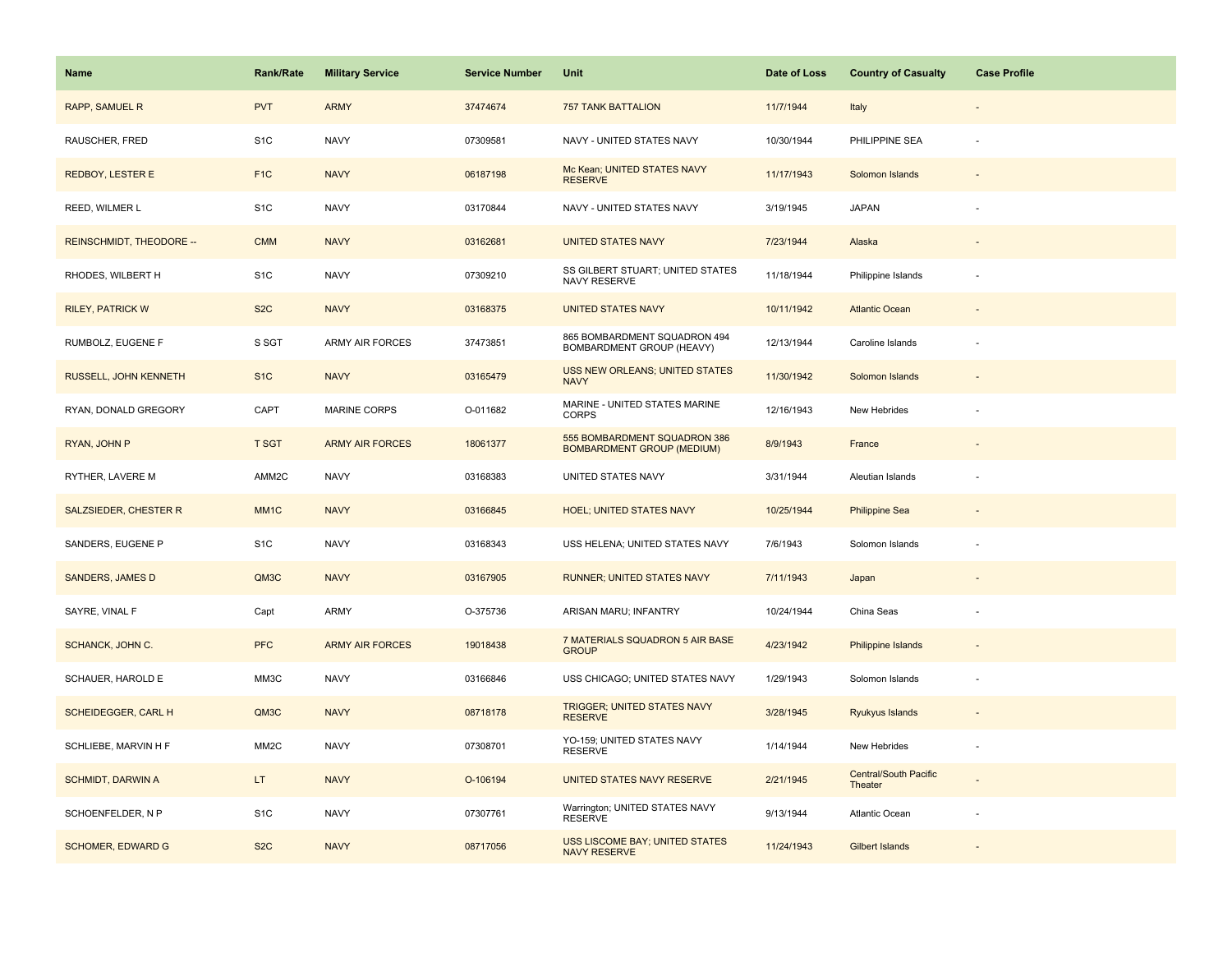| Name                            | Rank/Rate         | <b>Military Service</b> | <b>Service Number</b> | Unit                                                              | Date of Loss | <b>Country of Casualty</b>              | <b>Case Profile</b>      |
|---------------------------------|-------------------|-------------------------|-----------------------|-------------------------------------------------------------------|--------------|-----------------------------------------|--------------------------|
| <b>RAPP, SAMUEL R</b>           | <b>PVT</b>        | <b>ARMY</b>             | 37474674              | <b>757 TANK BATTALION</b>                                         | 11/7/1944    | Italy                                   |                          |
| RAUSCHER, FRED                  | S <sub>1</sub> C  | <b>NAVY</b>             | 07309581              | NAVY - UNITED STATES NAVY                                         | 10/30/1944   | PHILIPPINE SEA                          |                          |
| <b>REDBOY, LESTER E</b>         | F <sub>1</sub> C  | <b>NAVY</b>             | 06187198              | Mc Kean; UNITED STATES NAVY<br><b>RESERVE</b>                     | 11/17/1943   | Solomon Islands                         |                          |
| REED, WILMER L                  | S <sub>1</sub> C  | <b>NAVY</b>             | 03170844              | NAVY - UNITED STATES NAVY                                         | 3/19/1945    | <b>JAPAN</b>                            |                          |
| <b>REINSCHMIDT, THEODORE --</b> | <b>CMM</b>        | <b>NAVY</b>             | 03162681              | <b>UNITED STATES NAVY</b>                                         | 7/23/1944    | Alaska                                  |                          |
| RHODES, WILBERT H               | S <sub>1</sub> C  | <b>NAVY</b>             | 07309210              | SS GILBERT STUART; UNITED STATES<br>NAVY RESERVE                  | 11/18/1944   | Philippine Islands                      |                          |
| <b>RILEY, PATRICK W</b>         | S <sub>2</sub> C  | <b>NAVY</b>             | 03168375              | <b>UNITED STATES NAVY</b>                                         | 10/11/1942   | <b>Atlantic Ocean</b>                   | $\overline{\phantom{a}}$ |
| RUMBOLZ, EUGENE F               | S SGT             | <b>ARMY AIR FORCES</b>  | 37473851              | 865 BOMBARDMENT SQUADRON 494<br>BOMBARDMENT GROUP (HEAVY)         | 12/13/1944   | Caroline Islands                        |                          |
| RUSSELL, JOHN KENNETH           | S <sub>1</sub> C  | <b>NAVY</b>             | 03165479              | USS NEW ORLEANS; UNITED STATES<br><b>NAVY</b>                     | 11/30/1942   | Solomon Islands                         |                          |
| RYAN, DONALD GREGORY            | CAPT              | <b>MARINE CORPS</b>     | O-011682              | MARINE - UNITED STATES MARINE<br>CORPS                            | 12/16/1943   | New Hebrides                            |                          |
| RYAN, JOHN P                    | <b>T SGT</b>      | <b>ARMY AIR FORCES</b>  | 18061377              | 555 BOMBARDMENT SQUADRON 386<br><b>BOMBARDMENT GROUP (MEDIUM)</b> | 8/9/1943     | France                                  |                          |
| RYTHER, LAVERE M                | AMM2C             | <b>NAVY</b>             | 03168383              | UNITED STATES NAVY                                                | 3/31/1944    | Aleutian Islands                        |                          |
| SALZSIEDER, CHESTER R           | MM <sub>1</sub> C | <b>NAVY</b>             | 03166845              | <b>HOEL; UNITED STATES NAVY</b>                                   | 10/25/1944   | <b>Philippine Sea</b>                   |                          |
| SANDERS, EUGENE P               | S <sub>1</sub> C  | <b>NAVY</b>             | 03168343              | USS HELENA; UNITED STATES NAVY                                    | 7/6/1943     | Solomon Islands                         |                          |
| <b>SANDERS, JAMES D</b>         | QM3C              | <b>NAVY</b>             | 03167905              | <b>RUNNER; UNITED STATES NAVY</b>                                 | 7/11/1943    | Japan                                   |                          |
| SAYRE, VINAL F                  | Capt              | <b>ARMY</b>             | O-375736              | ARISAN MARU; INFANTRY                                             | 10/24/1944   | China Seas                              | ÷                        |
| <b>SCHANCK, JOHN C.</b>         | <b>PFC</b>        | <b>ARMY AIR FORCES</b>  | 19018438              | 7 MATERIALS SQUADRON 5 AIR BASE<br><b>GROUP</b>                   | 4/23/1942    | <b>Philippine Islands</b>               |                          |
| SCHAUER, HAROLD E               | MM3C              | <b>NAVY</b>             | 03166846              | USS CHICAGO; UNITED STATES NAVY                                   | 1/29/1943    | Solomon Islands                         | ÷,                       |
| SCHEIDEGGER, CARL H             | QM3C              | <b>NAVY</b>             | 08718178              | TRIGGER; UNITED STATES NAVY<br><b>RESERVE</b>                     | 3/28/1945    | Ryukyus Islands                         |                          |
| SCHLIEBE, MARVIN H F            | MM <sub>2</sub> C | <b>NAVY</b>             | 07308701              | YO-159; UNITED STATES NAVY<br><b>RESERVE</b>                      | 1/14/1944    | New Hebrides                            |                          |
| <b>SCHMIDT, DARWIN A</b>        | LT.               | <b>NAVY</b>             | O-106194              | UNITED STATES NAVY RESERVE                                        | 2/21/1945    | <b>Central/South Pacific</b><br>Theater |                          |
| SCHOENFELDER, N P               | S <sub>1</sub> C  | <b>NAVY</b>             | 07307761              | Warrington; UNITED STATES NAVY<br><b>RESERVE</b>                  | 9/13/1944    | <b>Atlantic Ocean</b>                   |                          |
| <b>SCHOMER, EDWARD G</b>        | S <sub>2</sub> C  | <b>NAVY</b>             | 08717056              | <b>USS LISCOME BAY; UNITED STATES</b><br><b>NAVY RESERVE</b>      | 11/24/1943   | <b>Gilbert Islands</b>                  |                          |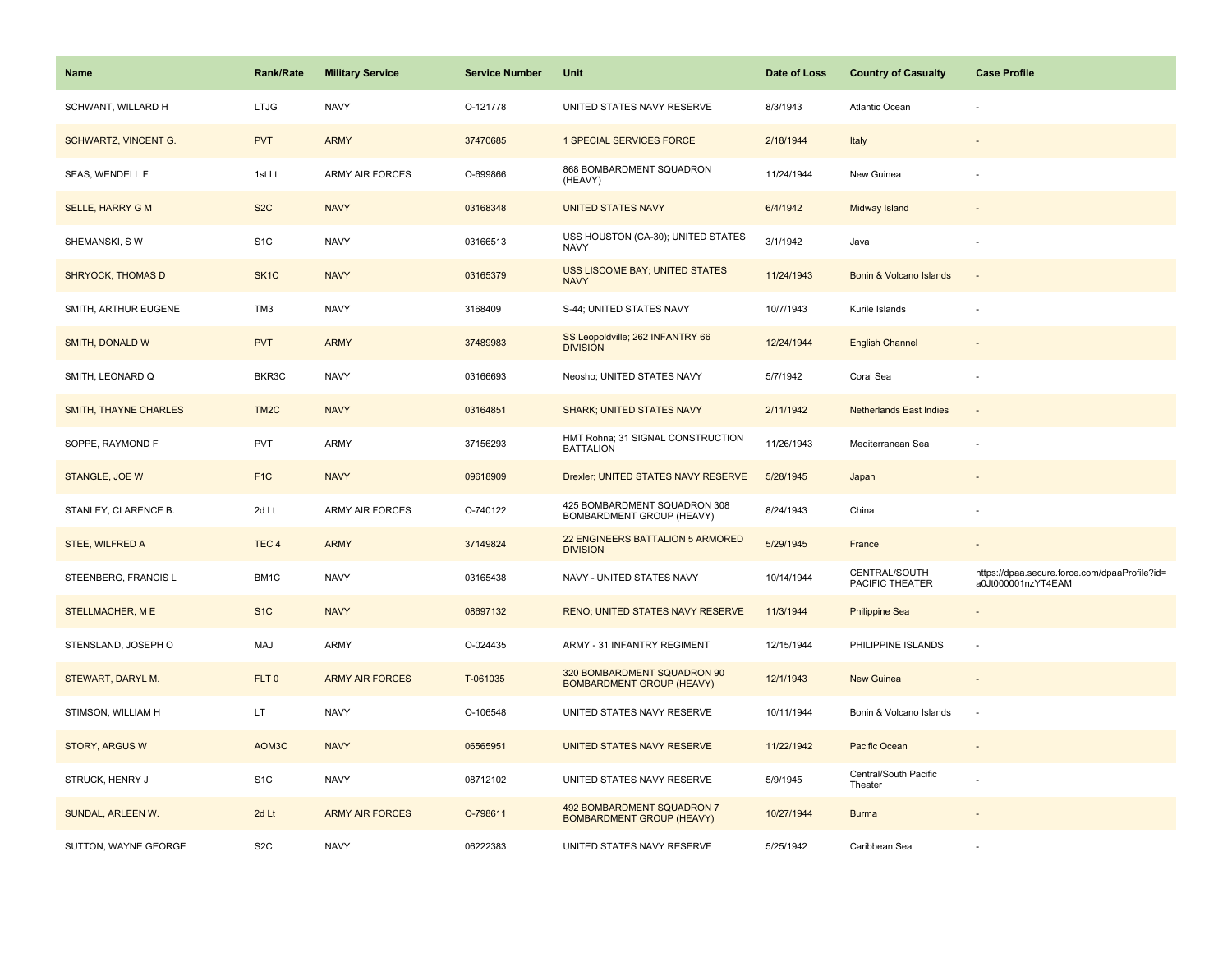| <b>Name</b>              | <b>Rank/Rate</b>  | <b>Military Service</b> | <b>Service Number</b> | Unit                                                            | Date of Loss | <b>Country of Casualty</b>       | <b>Case Profile</b>                                                 |
|--------------------------|-------------------|-------------------------|-----------------------|-----------------------------------------------------------------|--------------|----------------------------------|---------------------------------------------------------------------|
| SCHWANT, WILLARD H       | <b>LTJG</b>       | <b>NAVY</b>             | O-121778              | UNITED STATES NAVY RESERVE                                      | 8/3/1943     | <b>Atlantic Ocean</b>            |                                                                     |
| SCHWARTZ, VINCENT G.     | <b>PVT</b>        | <b>ARMY</b>             | 37470685              | 1 SPECIAL SERVICES FORCE                                        | 2/18/1944    | Italy                            |                                                                     |
| SEAS, WENDELL F          | 1st Lt            | <b>ARMY AIR FORCES</b>  | O-699866              | 868 BOMBARDMENT SQUADRON<br>(HEAVY)                             | 11/24/1944   | New Guinea                       |                                                                     |
| <b>SELLE, HARRY G M</b>  | S <sub>2</sub> C  | <b>NAVY</b>             | 03168348              | <b>UNITED STATES NAVY</b>                                       | 6/4/1942     | Midway Island                    |                                                                     |
| SHEMANSKI, SW            | S <sub>1</sub> C  | <b>NAVY</b>             | 03166513              | USS HOUSTON (CA-30); UNITED STATES<br><b>NAVY</b>               | 3/1/1942     | Java                             |                                                                     |
| <b>SHRYOCK, THOMAS D</b> | SK <sub>1</sub> C | <b>NAVY</b>             | 03165379              | USS LISCOME BAY; UNITED STATES<br><b>NAVY</b>                   | 11/24/1943   | Bonin & Volcano Islands          | $\overline{\phantom{a}}$                                            |
| SMITH, ARTHUR EUGENE     | TM3               | <b>NAVY</b>             | 3168409               | S-44; UNITED STATES NAVY                                        | 10/7/1943    | Kurile Islands                   | $\sim$                                                              |
| <b>SMITH, DONALD W</b>   | <b>PVT</b>        | <b>ARMY</b>             | 37489983              | SS Leopoldville; 262 INFANTRY 66<br><b>DIVISION</b>             | 12/24/1944   | <b>English Channel</b>           |                                                                     |
| SMITH, LEONARD Q         | BKR3C             | <b>NAVY</b>             | 03166693              | Neosho; UNITED STATES NAVY                                      | 5/7/1942     | Coral Sea                        |                                                                     |
| SMITH, THAYNE CHARLES    | TM <sub>2</sub> C | <b>NAVY</b>             | 03164851              | <b>SHARK; UNITED STATES NAVY</b>                                | 2/11/1942    | <b>Netherlands East Indies</b>   |                                                                     |
| SOPPE, RAYMOND F         | <b>PVT</b>        | ARMY                    | 37156293              | HMT Rohna; 31 SIGNAL CONSTRUCTION<br><b>BATTALION</b>           | 11/26/1943   | Mediterranean Sea                |                                                                     |
| STANGLE, JOE W           | F <sub>1</sub> C  | <b>NAVY</b>             | 09618909              | Drexler; UNITED STATES NAVY RESERVE                             | 5/28/1945    | Japan                            |                                                                     |
| STANLEY, CLARENCE B.     | 2d Lt             | ARMY AIR FORCES         | O-740122              | 425 BOMBARDMENT SQUADRON 308<br>BOMBARDMENT GROUP (HEAVY)       | 8/24/1943    | China                            |                                                                     |
| STEE, WILFRED A          | TEC <sub>4</sub>  | <b>ARMY</b>             | 37149824              | 22 ENGINEERS BATTALION 5 ARMORED<br><b>DIVISION</b>             | 5/29/1945    | France                           |                                                                     |
| STEENBERG, FRANCIS L     | BM1C              | <b>NAVY</b>             | 03165438              | NAVY - UNITED STATES NAVY                                       | 10/14/1944   | CENTRAL/SOUTH<br>PACIFIC THEATER | https://dpaa.secure.force.com/dpaaProfile?id=<br>a0Jt000001nzYT4EAM |
| STELLMACHER, ME          | S <sub>1C</sub>   | <b>NAVY</b>             | 08697132              | RENO; UNITED STATES NAVY RESERVE                                | 11/3/1944    | <b>Philippine Sea</b>            |                                                                     |
| STENSLAND, JOSEPH O      | MAJ               | ARMY                    | O-024435              | ARMY - 31 INFANTRY REGIMENT                                     | 12/15/1944   | PHILIPPINE ISLANDS               |                                                                     |
| STEWART, DARYL M.        | FLT <sub>0</sub>  | <b>ARMY AIR FORCES</b>  | T-061035              | 320 BOMBARDMENT SQUADRON 90<br><b>BOMBARDMENT GROUP (HEAVY)</b> | 12/1/1943    | <b>New Guinea</b>                |                                                                     |
| STIMSON, WILLIAM H       | LT.               | <b>NAVY</b>             | O-106548              | UNITED STATES NAVY RESERVE                                      | 10/11/1944   | Bonin & Volcano Islands          | $\sim$                                                              |
| <b>STORY, ARGUS W</b>    | AOM3C             | <b>NAVY</b>             | 06565951              | UNITED STATES NAVY RESERVE                                      | 11/22/1942   | Pacific Ocean                    |                                                                     |
| STRUCK, HENRY J          | S <sub>1</sub> C  | <b>NAVY</b>             | 08712102              | UNITED STATES NAVY RESERVE                                      | 5/9/1945     | Central/South Pacific<br>Theater |                                                                     |
| SUNDAL, ARLEEN W.        | 2d Lt             | <b>ARMY AIR FORCES</b>  | O-798611              | 492 BOMBARDMENT SQUADRON 7<br><b>BOMBARDMENT GROUP (HEAVY)</b>  | 10/27/1944   | <b>Burma</b>                     |                                                                     |
| SUTTON, WAYNE GEORGE     | S <sub>2</sub> C  | <b>NAVY</b>             | 06222383              | UNITED STATES NAVY RESERVE                                      | 5/25/1942    | Caribbean Sea                    |                                                                     |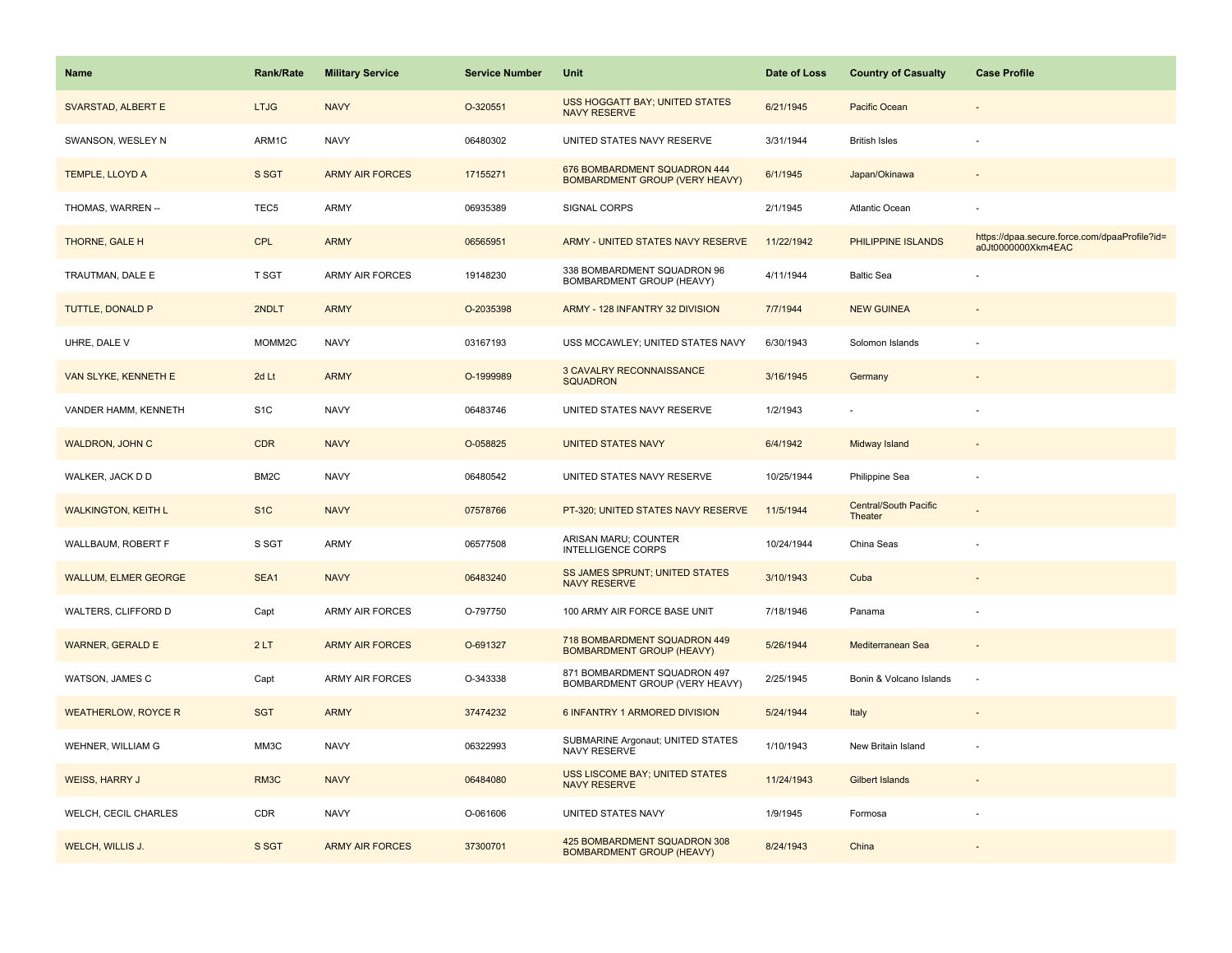| <b>Name</b>                 | Rank/Rate         | <b>Military Service</b> | <b>Service Number</b> | Unit                                                                  | Date of Loss | <b>Country of Casualty</b>              | <b>Case Profile</b>                                                 |
|-----------------------------|-------------------|-------------------------|-----------------------|-----------------------------------------------------------------------|--------------|-----------------------------------------|---------------------------------------------------------------------|
| SVARSTAD, ALBERT E          | <b>LTJG</b>       | <b>NAVY</b>             | O-320551              | <b>USS HOGGATT BAY; UNITED STATES</b><br><b>NAVY RESERVE</b>          | 6/21/1945    | Pacific Ocean                           |                                                                     |
| SWANSON, WESLEY N           | ARM1C             | <b>NAVY</b>             | 06480302              | UNITED STATES NAVY RESERVE                                            | 3/31/1944    | <b>British Isles</b>                    |                                                                     |
| TEMPLE, LLOYD A             | S SGT             | <b>ARMY AIR FORCES</b>  | 17155271              | 676 BOMBARDMENT SQUADRON 444<br><b>BOMBARDMENT GROUP (VERY HEAVY)</b> | 6/1/1945     | Japan/Okinawa                           |                                                                     |
| THOMAS, WARREN --           | TEC <sub>5</sub>  | ARMY                    | 06935389              | SIGNAL CORPS                                                          | 2/1/1945     | Atlantic Ocean                          |                                                                     |
| <b>THORNE, GALE H</b>       | <b>CPL</b>        | <b>ARMY</b>             | 06565951              | ARMY - UNITED STATES NAVY RESERVE                                     | 11/22/1942   | PHILIPPINE ISLANDS                      | https://dpaa.secure.force.com/dpaaProfile?id=<br>a0Jt0000000Xkm4EAC |
| TRAUTMAN, DALE E            | T SGT             | <b>ARMY AIR FORCES</b>  | 19148230              | 338 BOMBARDMENT SQUADRON 96<br>BOMBARDMENT GROUP (HEAVY)              | 4/11/1944    | <b>Baltic Sea</b>                       |                                                                     |
| TUTTLE, DONALD P            | 2NDLT             | <b>ARMY</b>             | O-2035398             | ARMY - 128 INFANTRY 32 DIVISION                                       | 7/7/1944     | <b>NEW GUINEA</b>                       |                                                                     |
| UHRE, DALE V                | MOMM2C            | <b>NAVY</b>             | 03167193              | USS MCCAWLEY; UNITED STATES NAVY                                      | 6/30/1943    | Solomon Islands                         |                                                                     |
| VAN SLYKE, KENNETH E        | 2d Lt             | <b>ARMY</b>             | O-1999989             | 3 CAVALRY RECONNAISSANCE<br><b>SQUADRON</b>                           | 3/16/1945    | Germany                                 |                                                                     |
| VANDER HAMM, KENNETH        | S <sub>1</sub> C  | <b>NAVY</b>             | 06483746              | UNITED STATES NAVY RESERVE                                            | 1/2/1943     |                                         |                                                                     |
| <b>WALDRON, JOHN C</b>      | <b>CDR</b>        | <b>NAVY</b>             | O-058825              | <b>UNITED STATES NAVY</b>                                             | 6/4/1942     | Midway Island                           |                                                                     |
| WALKER, JACK D D            | BM <sub>2</sub> C | <b>NAVY</b>             | 06480542              | UNITED STATES NAVY RESERVE                                            | 10/25/1944   | Philippine Sea                          |                                                                     |
| <b>WALKINGTON, KEITH L</b>  | S <sub>1</sub> C  | <b>NAVY</b>             | 07578766              | PT-320; UNITED STATES NAVY RESERVE                                    | 11/5/1944    | <b>Central/South Pacific</b><br>Theater |                                                                     |
| WALLBAUM, ROBERT F          | S SGT             | <b>ARMY</b>             | 06577508              | ARISAN MARU; COUNTER<br><b>INTELLIGENCE CORPS</b>                     | 10/24/1944   | China Seas                              |                                                                     |
| <b>WALLUM, ELMER GEORGE</b> | SEA1              | <b>NAVY</b>             | 06483240              | SS JAMES SPRUNT; UNITED STATES<br><b>NAVY RESERVE</b>                 | 3/10/1943    | Cuba                                    |                                                                     |
| WALTERS, CLIFFORD D         | Capt              | ARMY AIR FORCES         | O-797750              | 100 ARMY AIR FORCE BASE UNIT                                          | 7/18/1946    | Panama                                  |                                                                     |
| <b>WARNER, GERALD E</b>     | 2LT               | <b>ARMY AIR FORCES</b>  | O-691327              | 718 BOMBARDMENT SQUADRON 449<br><b>BOMBARDMENT GROUP (HEAVY)</b>      | 5/26/1944    | Mediterranean Sea                       |                                                                     |
| WATSON, JAMES C             | Capt              | ARMY AIR FORCES         | O-343338              | 871 BOMBARDMENT SQUADRON 497<br>BOMBARDMENT GROUP (VERY HEAVY)        | 2/25/1945    | Bonin & Volcano Islands                 | ÷,                                                                  |
| <b>WEATHERLOW, ROYCE R</b>  | <b>SGT</b>        | <b>ARMY</b>             | 37474232              | 6 INFANTRY 1 ARMORED DIVISION                                         | 5/24/1944    | Italy                                   |                                                                     |
| WEHNER, WILLIAM G           | MM3C              | <b>NAVY</b>             | 06322993              | SUBMARINE Argonaut; UNITED STATES<br><b>NAVY RESERVE</b>              | 1/10/1943    | New Britain Island                      |                                                                     |
| <b>WEISS, HARRY J</b>       | RM3C              | <b>NAVY</b>             | 06484080              | <b>USS LISCOME BAY; UNITED STATES</b><br><b>NAVY RESERVE</b>          | 11/24/1943   | Gilbert Islands                         | $\sim$                                                              |
| WELCH, CECIL CHARLES        | CDR               | <b>NAVY</b>             | O-061606              | UNITED STATES NAVY                                                    | 1/9/1945     | Formosa                                 |                                                                     |
| WELCH, WILLIS J.            | S SGT             | <b>ARMY AIR FORCES</b>  | 37300701              | 425 BOMBARDMENT SQUADRON 308<br><b>BOMBARDMENT GROUP (HEAVY)</b>      | 8/24/1943    | China                                   |                                                                     |